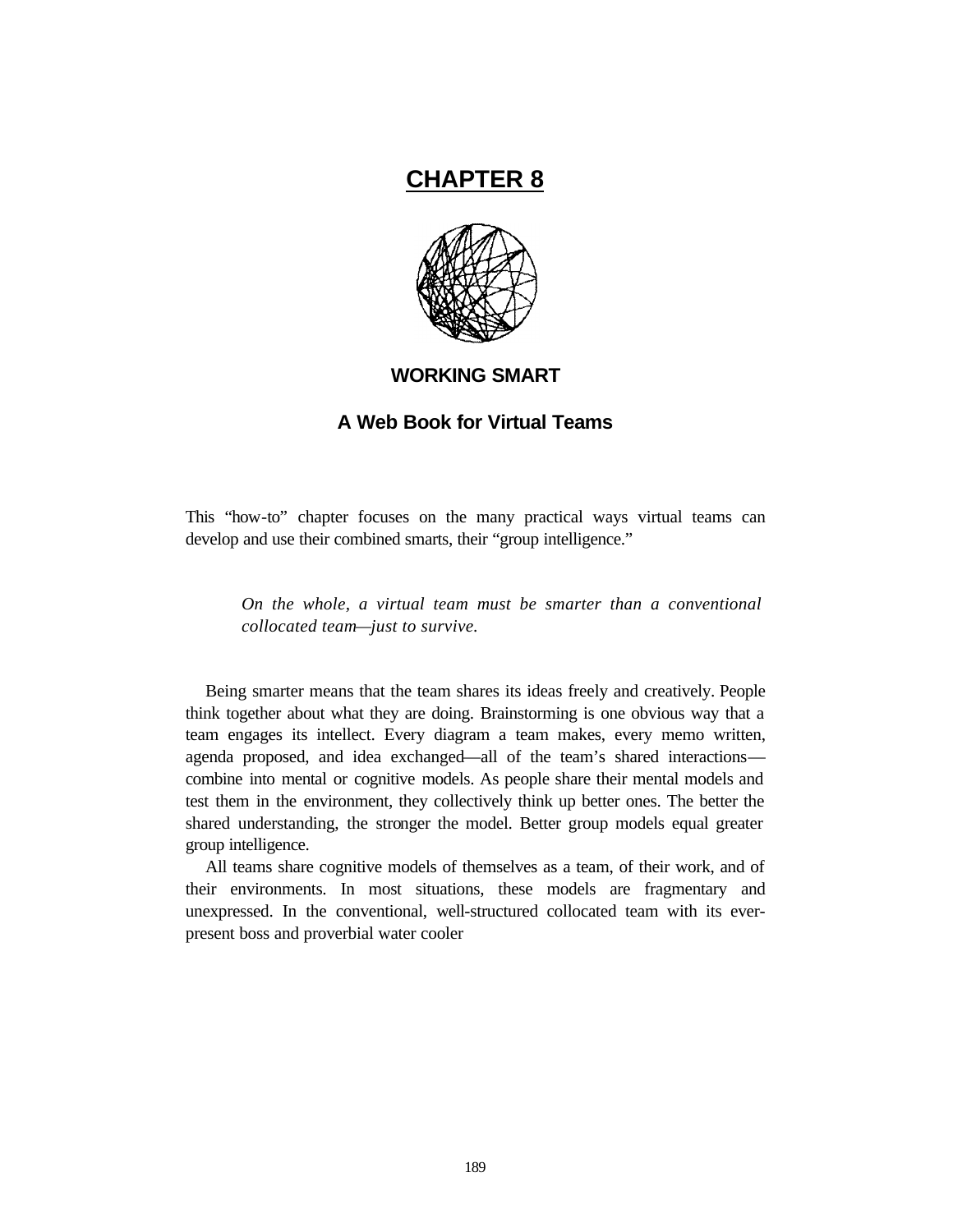# **CHAPTER 8**



### **WORKING SMART**

## **A Web Book for Virtual Teams**

This "how-to" chapter focuses on the many practical ways virtual teams can develop and use their combined smarts, their "group intelligence."

*On the whole, a virtual team must be smarter than a conventional collocated team—just to survive.*

Being smarter means that the team shares its ideas freely and creatively. People think together about what they are doing. Brainstorming is one obvious way that a team engages its intellect. Every diagram a team makes, every memo written, agenda proposed, and idea exchanged—all of the team's shared interactions combine into mental or cognitive models. As people share their mental models and test them in the environment, they collectively think up better ones. The better the shared understanding, the stronger the model. Better group models equal greater group intelligence.

All teams share cognitive models of themselves as a team, of their work, and of their environments. In most situations, these models are fragmentary and unexpressed. In the conventional, well-structured collocated team with its everpresent boss and proverbial water cooler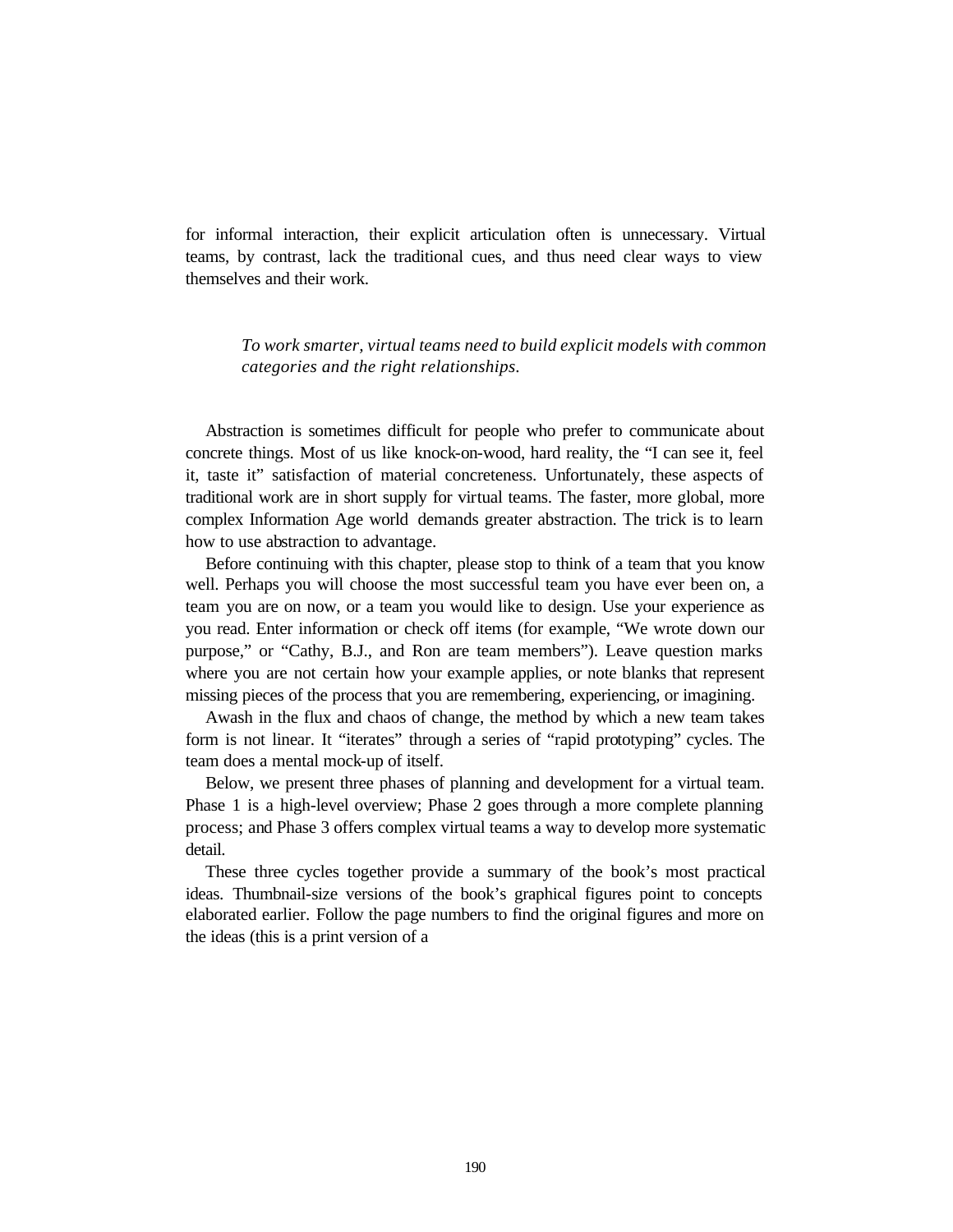for informal interaction, their explicit articulation often is unnecessary. Virtual teams, by contrast, lack the traditional cues, and thus need clear ways to view themselves and their work.

*To work smarter, virtual teams need to build explicit models with common categories and the right relationships.*

Abstraction is sometimes difficult for people who prefer to communicate about concrete things. Most of us like knock-on-wood, hard reality, the "I can see it, feel it, taste it" satisfaction of material concreteness. Unfortunately, these aspects of traditional work are in short supply for virtual teams. The faster, more global, more complex Information Age world demands greater abstraction. The trick is to learn how to use abstraction to advantage.

Before continuing with this chapter, please stop to think of a team that you know well. Perhaps you will choose the most successful team you have ever been on, a team you are on now, or a team you would like to design. Use your experience as you read. Enter information or check off items (for example, "We wrote down our purpose," or "Cathy, B.J., and Ron are team members"). Leave question marks where you are not certain how your example applies, or note blanks that represent missing pieces of the process that you are remembering, experiencing, or imagining.

Awash in the flux and chaos of change, the method by which a new team takes form is not linear. It "iterates" through a series of "rapid prototyping" cycles. The team does a mental mock-up of itself.

Below, we present three phases of planning and development for a virtual team. Phase 1 is a high-level overview; Phase 2 goes through a more complete planning process; and Phase 3 offers complex virtual teams a way to develop more systematic detail.

These three cycles together provide a summary of the book's most practical ideas. Thumbnail-size versions of the book's graphical figures point to concepts elaborated earlier. Follow the page numbers to find the original figures and more on the ideas (this is a print version of a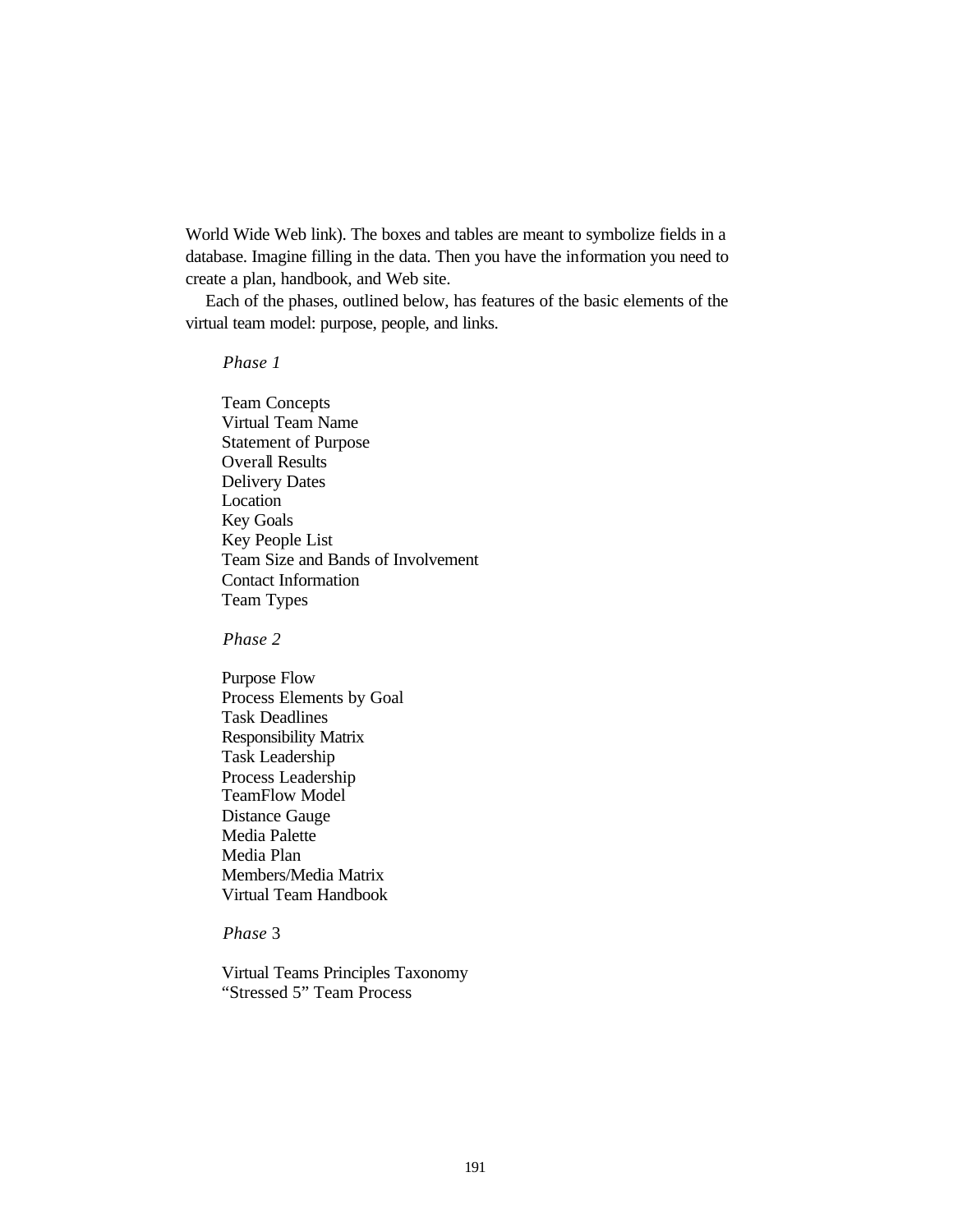World Wide Web link). The boxes and tables are meant to symbolize fields in a database. Imagine filling in the data. Then you have the information you need to create a plan, handbook, and Web site.

Each of the phases, outlined below, has features of the basic elements of the virtual team model: purpose, people, and links.

#### *Phase 1*

Team Concepts Virtual Team Name Statement of Purpose Overall Results Delivery Dates Location Key Goals Key People List Team Size and Bands of Involvement Contact Information Team Types

#### *Phase 2*

Purpose Flow Process Elements by Goal Task Deadlines Responsibility Matrix Task Leadership Process Leadership TeamFlow Model Distance Gauge Media Palette Media Plan Members/Media Matrix Virtual Team Handbook

#### *Phase* 3

Virtual Teams Principles Taxonomy "Stressed 5" Team Process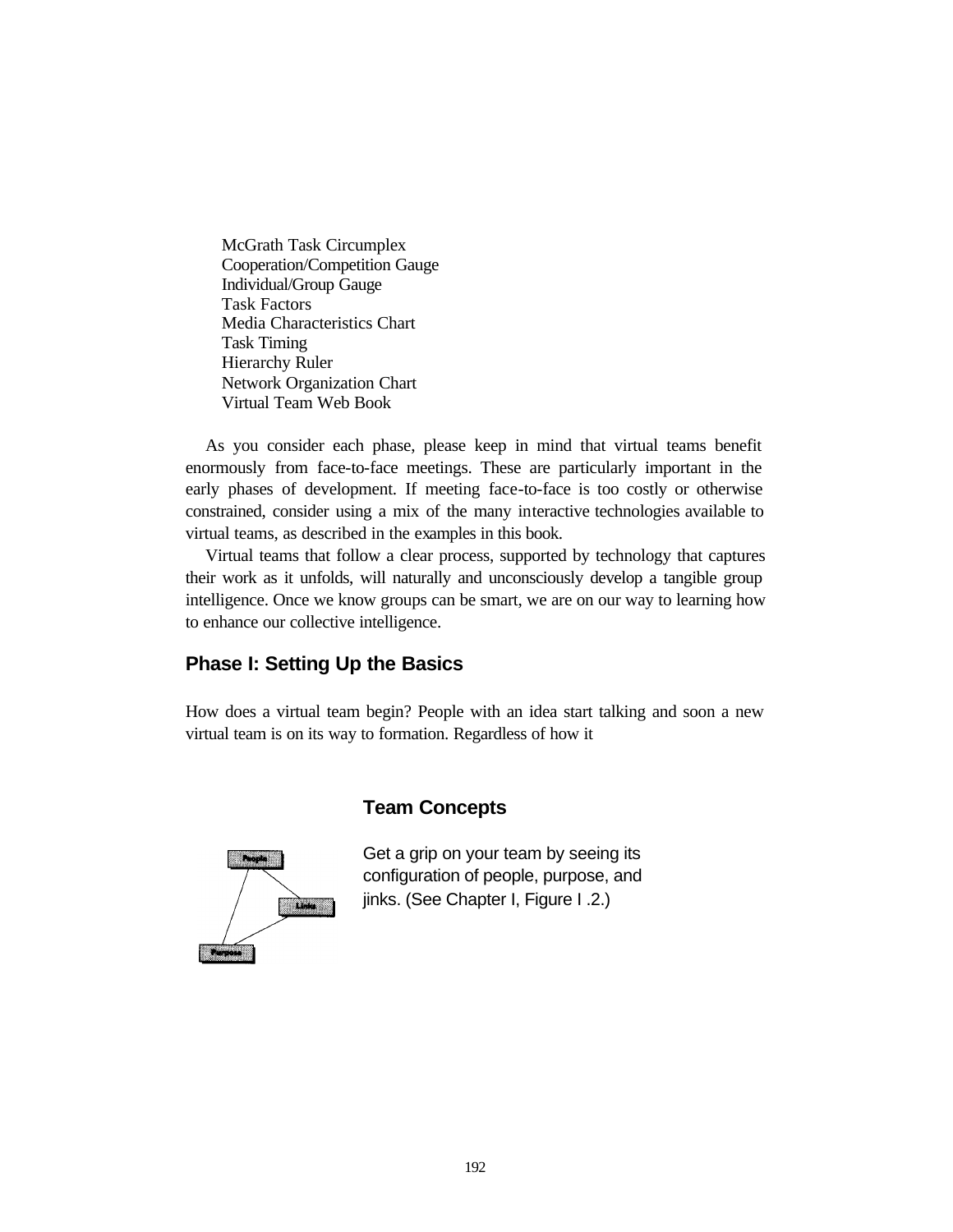McGrath Task Circumplex Cooperation/Competition Gauge Individual/Group Gauge Task Factors Media Characteristics Chart Task Timing Hierarchy Ruler Network Organization Chart Virtual Team Web Book

As you consider each phase, please keep in mind that virtual teams benefit enormously from face-to-face meetings. These are particularly important in the early phases of development. If meeting face-to-face is too costly or otherwise constrained, consider using a mix of the many interactive technologies available to virtual teams, as described in the examples in this book.

Virtual teams that follow a clear process, supported by technology that captures their work as it unfolds, will naturally and unconsciously develop a tangible group intelligence. Once we know groups can be smart, we are on our way to learning how to enhance our collective intelligence.

### **Phase I: Setting Up the Basics**

How does a virtual team begin? People with an idea start talking and soon a new virtual team is on its way to formation. Regardless of how it



**Team Concepts**

Get a grip on your team by seeing its configuration of people, purpose, and jinks. (See Chapter I, Figure I .2.)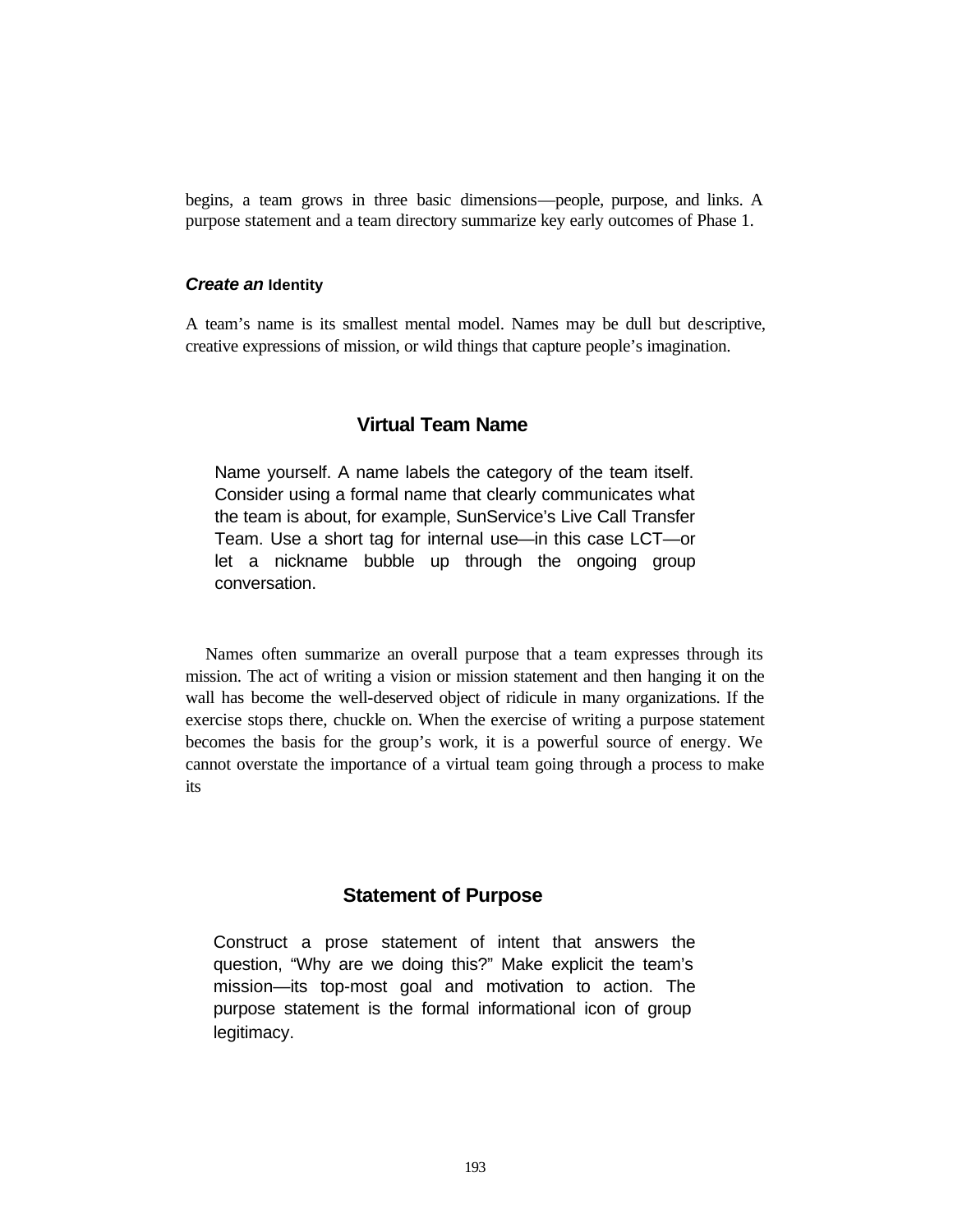begins, a team grows in three basic dimensions—people, purpose, and links. A purpose statement and a team directory summarize key early outcomes of Phase 1.

#### *Create an* **Identity**

A team's name is its smallest mental model. Names may be dull but descriptive, creative expressions of mission, or wild things that capture people's imagination.

### **Virtual Team Name**

Name yourself. A name labels the category of the team itself. Consider using a formal name that clearly communicates what the team is about, for example, SunService's Live Call Transfer Team. Use a short tag for internal use—in this case LCT—or let a nickname bubble up through the ongoing group conversation.

Names often summarize an overall purpose that a team expresses through its mission. The act of writing a vision or mission statement and then hanging it on the wall has become the well-deserved object of ridicule in many organizations. If the exercise stops there, chuckle on. When the exercise of writing a purpose statement becomes the basis for the group's work, it is a powerful source of energy. We cannot overstate the importance of a virtual team going through a process to make its

### **Statement of Purpose**

Construct a prose statement of intent that answers the question, "Why are we doing this?" Make explicit the team's mission—its top-most goal and motivation to action. The purpose statement is the formal informational icon of group legitimacy.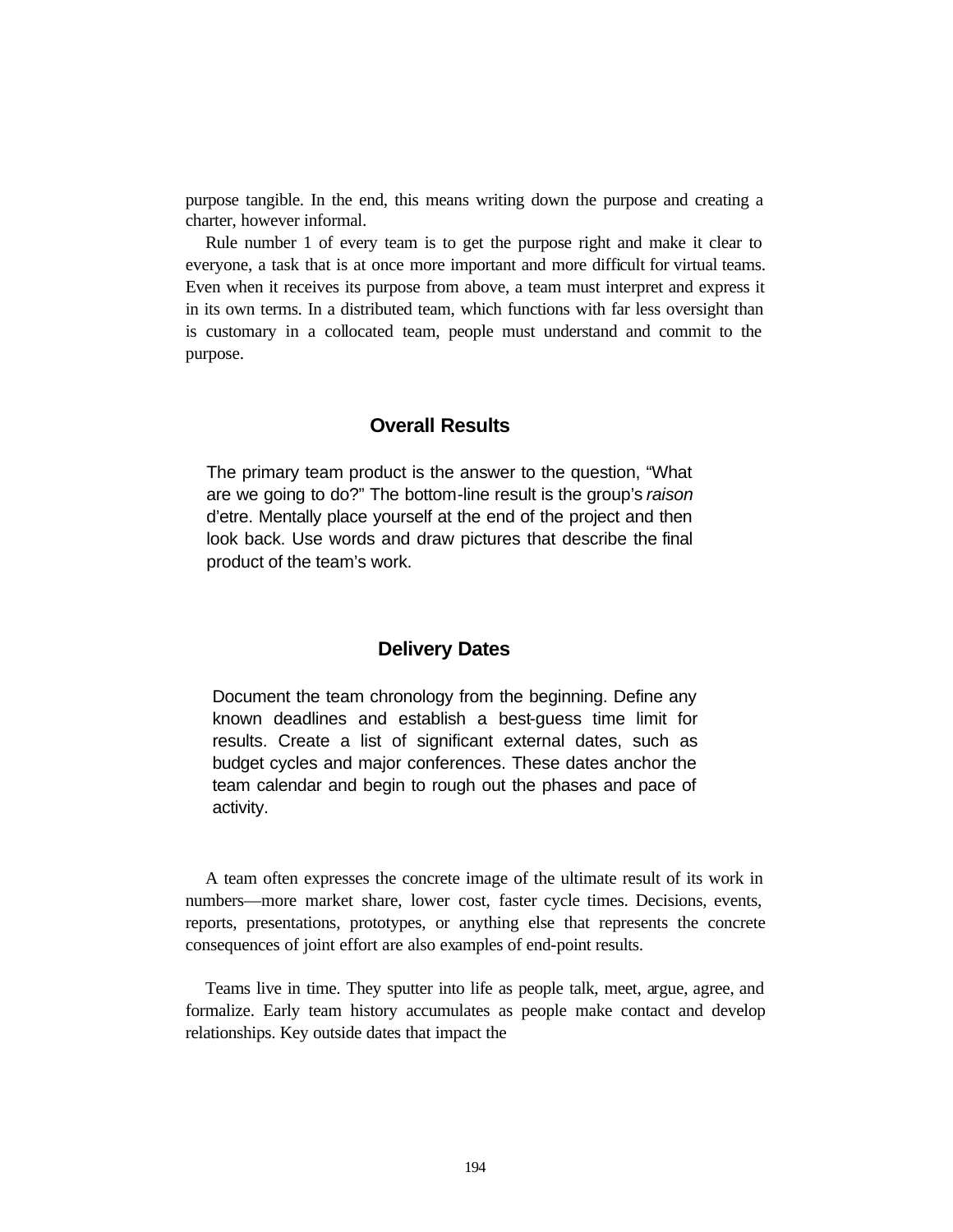purpose tangible. In the end, this means writing down the purpose and creating a charter, however informal.

Rule number 1 of every team is to get the purpose right and make it clear to everyone, a task that is at once more important and more difficult for virtual teams. Even when it receives its purpose from above, a team must interpret and express it in its own terms. In a distributed team, which functions with far less oversight than is customary in a collocated team, people must understand and commit to the purpose.

### **Overall Results**

The primary team product is the answer to the question, "What are we going to do?" The bottom-line result is the group's *raison*  d'etre. Mentally place yourself at the end of the project and then look back. Use words and draw pictures that describe the final product of the team's work.

### **Delivery Dates**

Document the team chronology from the beginning. Define any known deadlines and establish a best-guess time limit for results. Create a list of significant external dates, such as budget cycles and major conferences. These dates anchor the team calendar and begin to rough out the phases and pace of activity.

A team often expresses the concrete image of the ultimate result of its work in numbers—more market share, lower cost, faster cycle times. Decisions, events, reports, presentations, prototypes, or anything else that represents the concrete consequences of joint effort are also examples of end-point results.

Teams live in time. They sputter into life as people talk, meet, argue, agree, and formalize. Early team history accumulates as people make contact and develop relationships. Key outside dates that impact the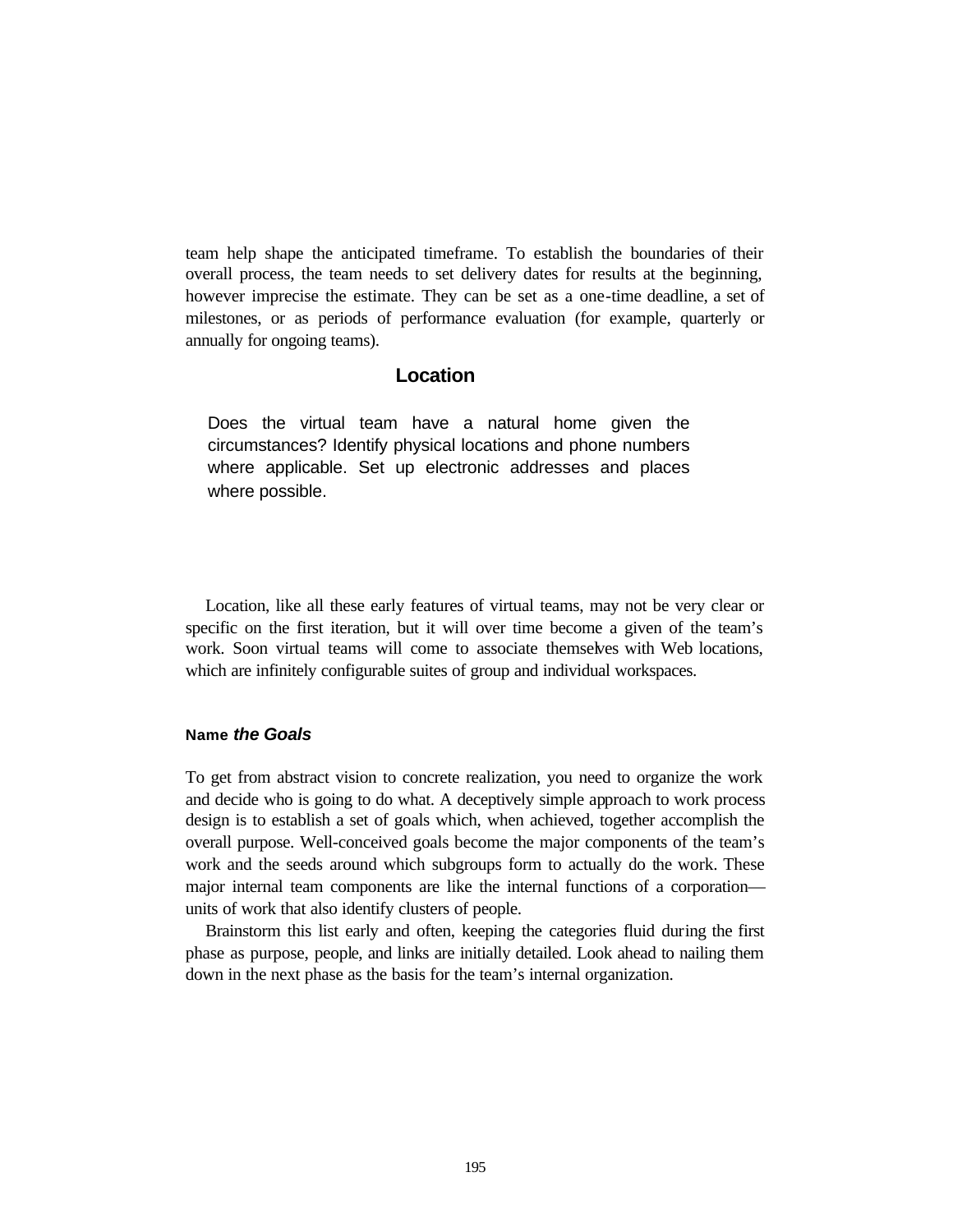team help shape the anticipated timeframe. To establish the boundaries of their overall process, the team needs to set delivery dates for results at the beginning, however imprecise the estimate. They can be set as a one-time deadline, a set of milestones, or as periods of performance evaluation (for example, quarterly or annually for ongoing teams).

### **Location**

Does the virtual team have a natural home given the circumstances? Identify physical locations and phone numbers where applicable. Set up electronic addresses and places where possible.

Location, like all these early features of virtual teams, may not be very clear or specific on the first iteration, but it will over time become a given of the team's work. Soon virtual teams will come to associate themselves with Web locations, which are infinitely configurable suites of group and individual workspaces.

#### **Name** *the Goals*

To get from abstract vision to concrete realization, you need to organize the work and decide who is going to do what. A deceptively simple approach to work process design is to establish a set of goals which, when achieved, together accomplish the overall purpose. Well-conceived goals become the major components of the team's work and the seeds around which subgroups form to actually do the work. These major internal team components are like the internal functions of a corporation units of work that also identify clusters of people.

Brainstorm this list early and often, keeping the categories fluid during the first phase as purpose, people, and links are initially detailed. Look ahead to nailing them down in the next phase as the basis for the team's internal organization.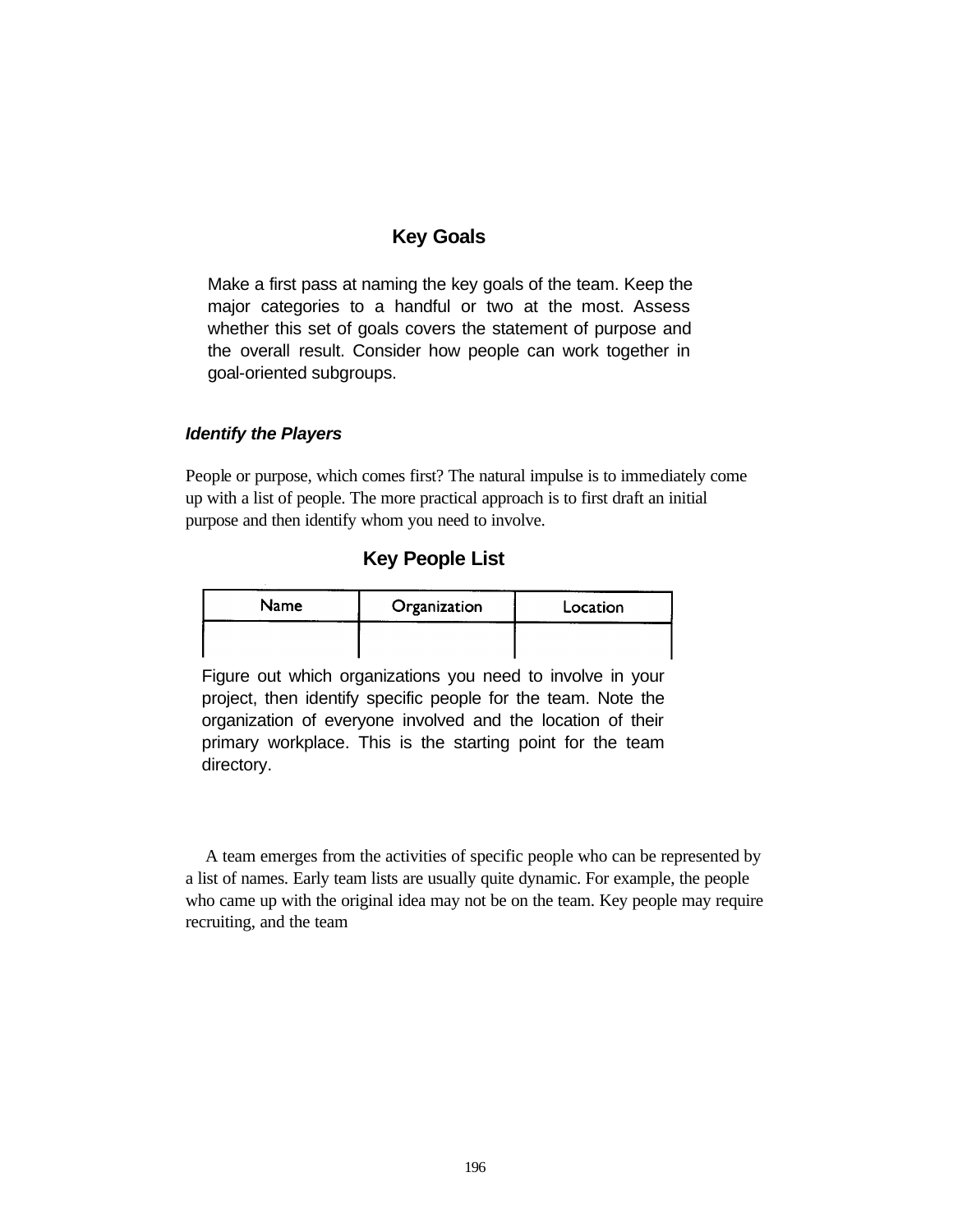## **Key Goals**

Make a first pass at naming the key goals of the team. Keep the major categories to a handful or two at the most. Assess whether this set of goals covers the statement of purpose and the overall result. Consider how people can work together in goal-oriented subgroups.

### *Identify the Players*

People or purpose, which comes first? The natural impulse is to immediately come up with a list of people. The more practical approach is to first draft an initial purpose and then identify whom you need to involve.

### **Key People List**

| Name | Organization | Location |
|------|--------------|----------|
|      |              |          |

Figure out which organizations you need to involve in your project, then identify specific people for the team. Note the organization of everyone involved and the location of their primary workplace. This is the starting point for the team directory.

A team emerges from the activities of specific people who can be represented by a list of names. Early team lists are usually quite dynamic. For example, the people who came up with the original idea may not be on the team. Key people may require recruiting, and the team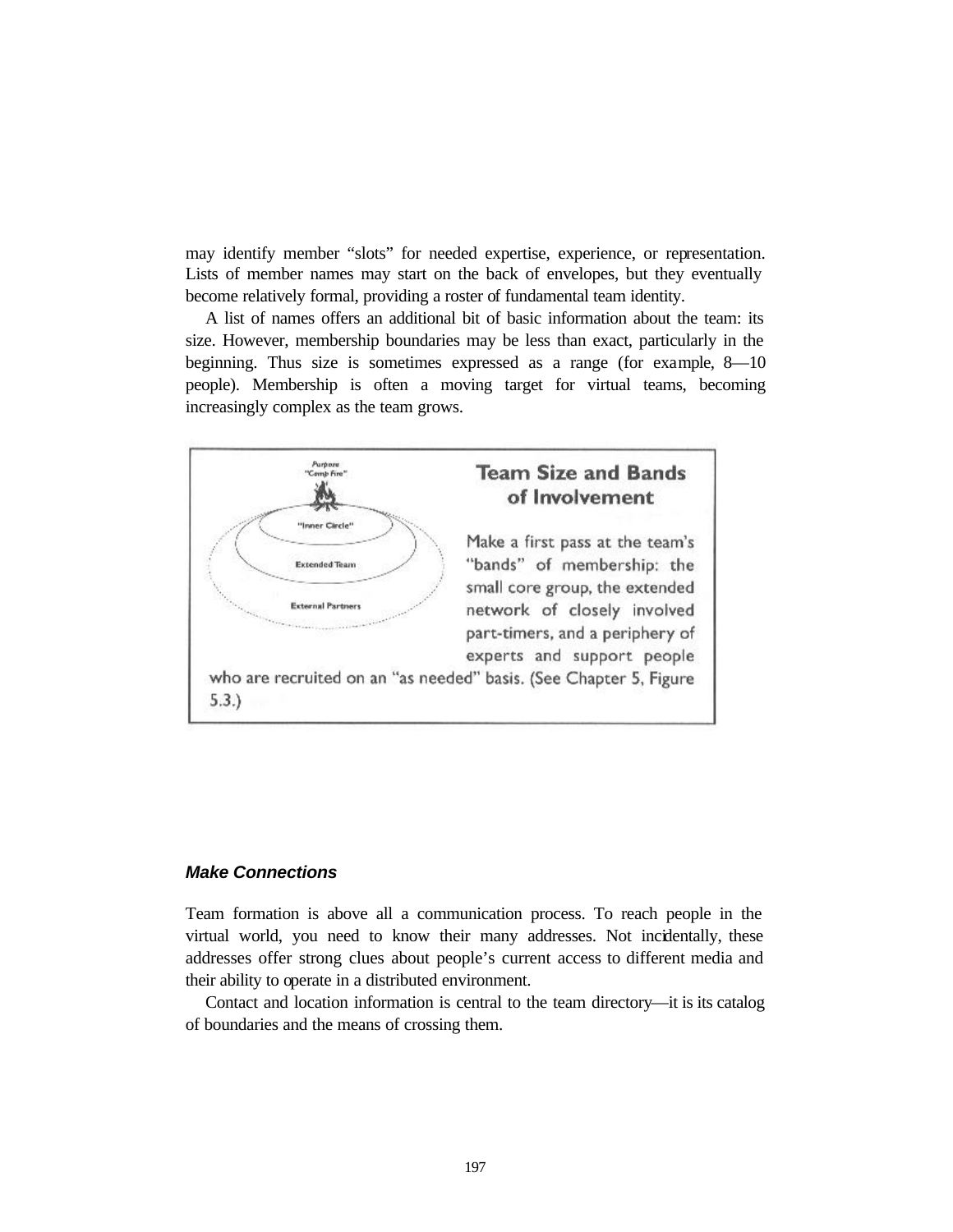may identify member "slots" for needed expertise, experience, or representation. Lists of member names may start on the back of envelopes, but they eventually become relatively formal, providing a roster of fundamental team identity.

A list of names offers an additional bit of basic information about the team: its size. However, membership boundaries may be less than exact, particularly in the beginning. Thus size is sometimes expressed as a range (for example, 8—10 people). Membership is often a moving target for virtual teams, becoming increasingly complex as the team grows.



#### *Make Connections*

Team formation is above all a communication process. To reach people in the virtual world, you need to know their many addresses. Not incidentally, these addresses offer strong clues about people's current access to different media and their ability to operate in a distributed environment.

Contact and location information is central to the team directory—it is its catalog of boundaries and the means of crossing them.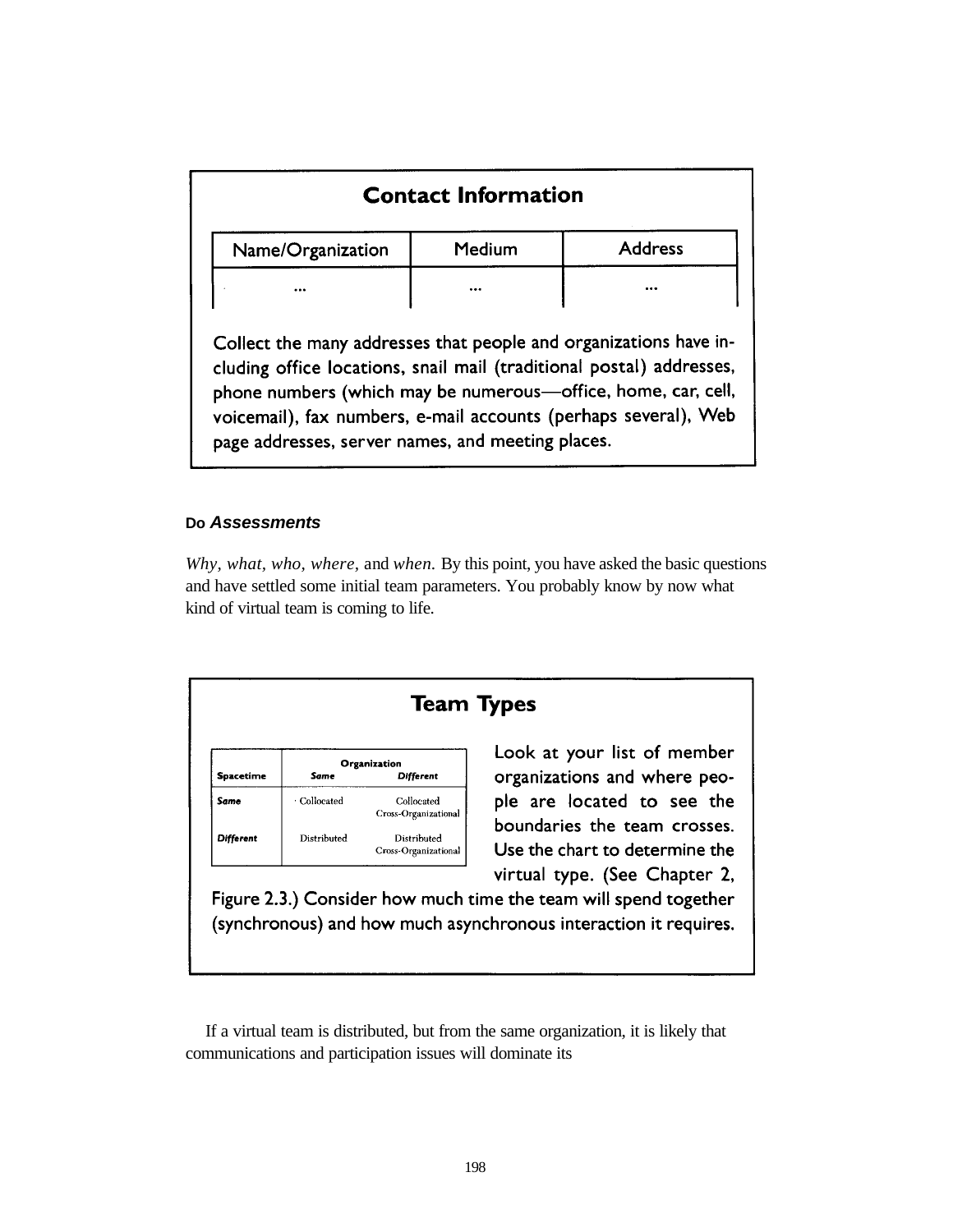| <b>Contact Information</b>                                                                                                                                                                                                                                                                                                         |        |                |  |
|------------------------------------------------------------------------------------------------------------------------------------------------------------------------------------------------------------------------------------------------------------------------------------------------------------------------------------|--------|----------------|--|
| Name/Organization                                                                                                                                                                                                                                                                                                                  | Medium | <b>Address</b> |  |
|                                                                                                                                                                                                                                                                                                                                    |        |                |  |
| Collect the many addresses that people and organizations have in-<br>cluding office locations, snail mail (traditional postal) addresses,<br>phone numbers (which may be numerous—office, home, car, cell,<br>voicemail), fax numbers, e-mail accounts (perhaps several), Web<br>page addresses, server names, and meeting places. |        |                |  |

### **Do** *Assessments*

*Why, what, who, where,* and *when.* By this point, you have asked the basic questions and have settled some initial team parameters. You probably know by now what kind of virtual team is coming to life.

|                  | <b>Team Types</b> |                                     |                            |
|------------------|-------------------|-------------------------------------|----------------------------|
| <b>Spacetime</b> | Same              | Organization<br><b>Different</b>    | Look at yo<br>organization |
| Same             | · Collocated      | Collocated<br>Cross-Organizational  | ple are lo                 |
| Different        | Distributed       | Distributed<br>Cross-Organizational | boundaries<br>Use the chai |

ur list of member ns and where peocated to see the the team crosses. rt to determine the virtual type. (See Chapter 2,

Figure 2.3.) Consider how much time the team will spend together (synchronous) and how much asynchronous interaction it requires.

If a virtual team is distributed, but from the same organization, it is likely that communications and participation issues will dominate its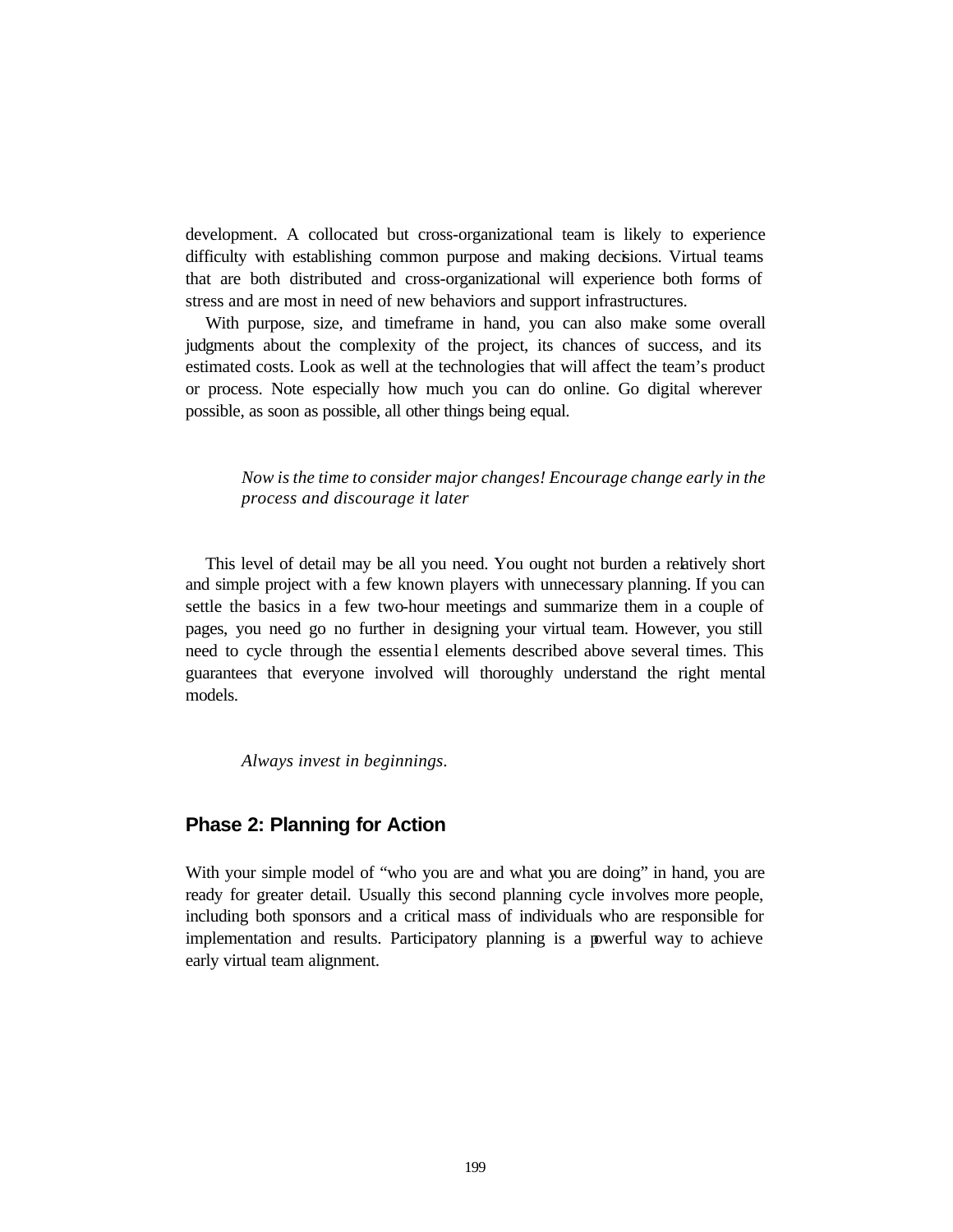development. A collocated but cross-organizational team is likely to experience difficulty with establishing common purpose and making decisions. Virtual teams that are both distributed and cross-organizational will experience both forms of stress and are most in need of new behaviors and support infrastructures.

With purpose, size, and timeframe in hand, you can also make some overall judgments about the complexity of the project, its chances of success, and its estimated costs. Look as well at the technologies that will affect the team's product or process. Note especially how much you can do online. Go digital wherever possible, as soon as possible, all other things being equal.

*Now is the time to consider major changes! Encourage change early in the process and discourage it later*

This level of detail may be all you need. You ought not burden a relatively short and simple project with a few known players with unnecessary planning. If you can settle the basics in a few two-hour meetings and summarize them in a couple of pages, you need go no further in designing your virtual team. However, you still need to cycle through the essential elements described above several times. This guarantees that everyone involved will thoroughly understand the right mental models.

*Always invest in beginnings.*

### **Phase 2: Planning for Action**

With your simple model of "who you are and what you are doing" in hand, you are ready for greater detail. Usually this second planning cycle involves more people, including both sponsors and a critical mass of individuals who are responsible for implementation and results. Participatory planning is a powerful way to achieve early virtual team alignment.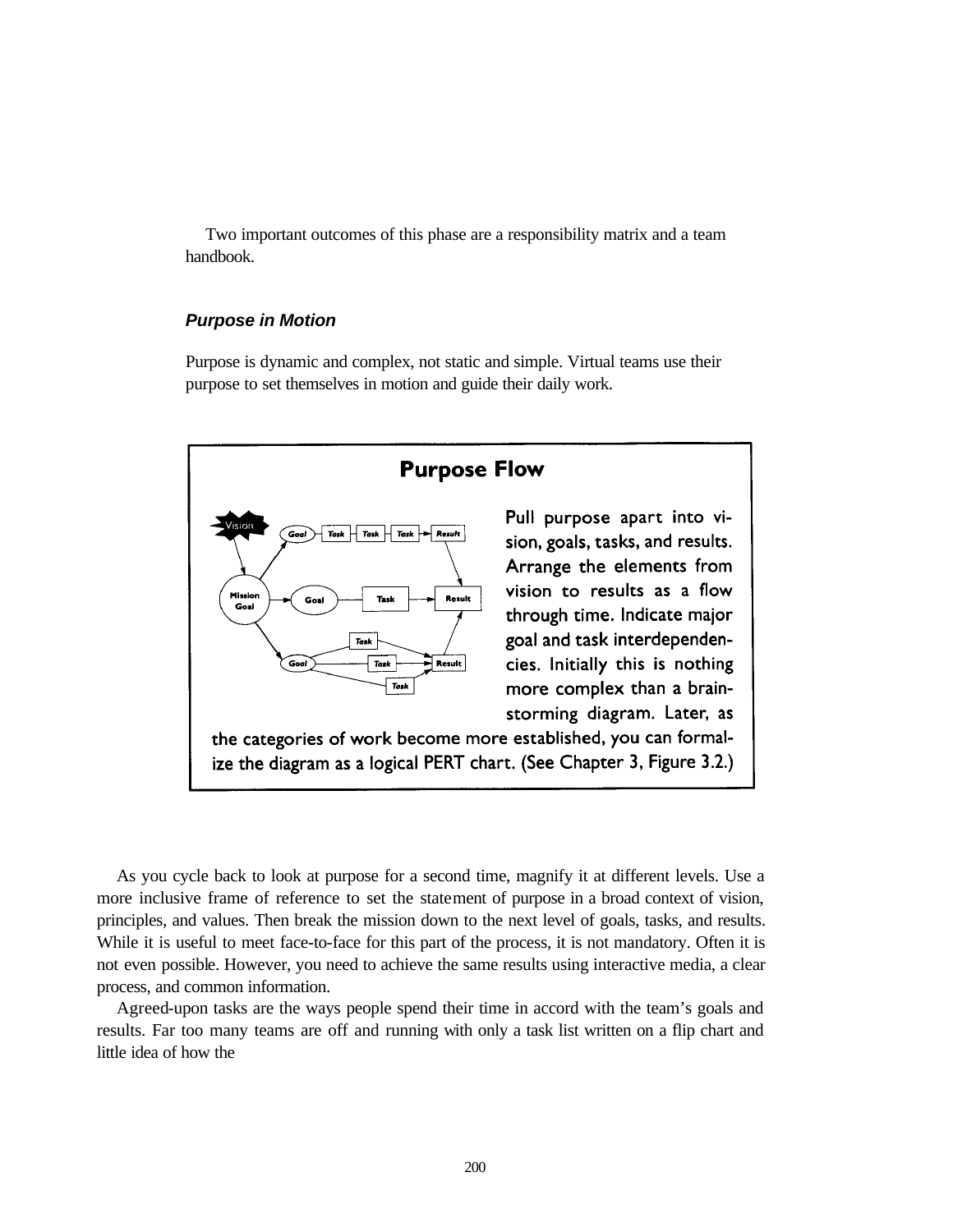Two important outcomes of this phase are a responsibility matrix and a team handbook.

### *Purpose in Motion*

Purpose is dynamic and complex, not static and simple. Virtual teams use their purpose to set themselves in motion and guide their daily work.



As you cycle back to look at purpose for a second time, magnify it at different levels. Use a more inclusive frame of reference to set the statement of purpose in a broad context of vision, principles, and values. Then break the mission down to the next level of goals, tasks, and results. While it is useful to meet face-to-face for this part of the process, it is not mandatory. Often it is not even possible. However, you need to achieve the same results using interactive media, a clear process, and common information.

Agreed-upon tasks are the ways people spend their time in accord with the team's goals and results. Far too many teams are off and running with only a task list written on a flip chart and little idea of how the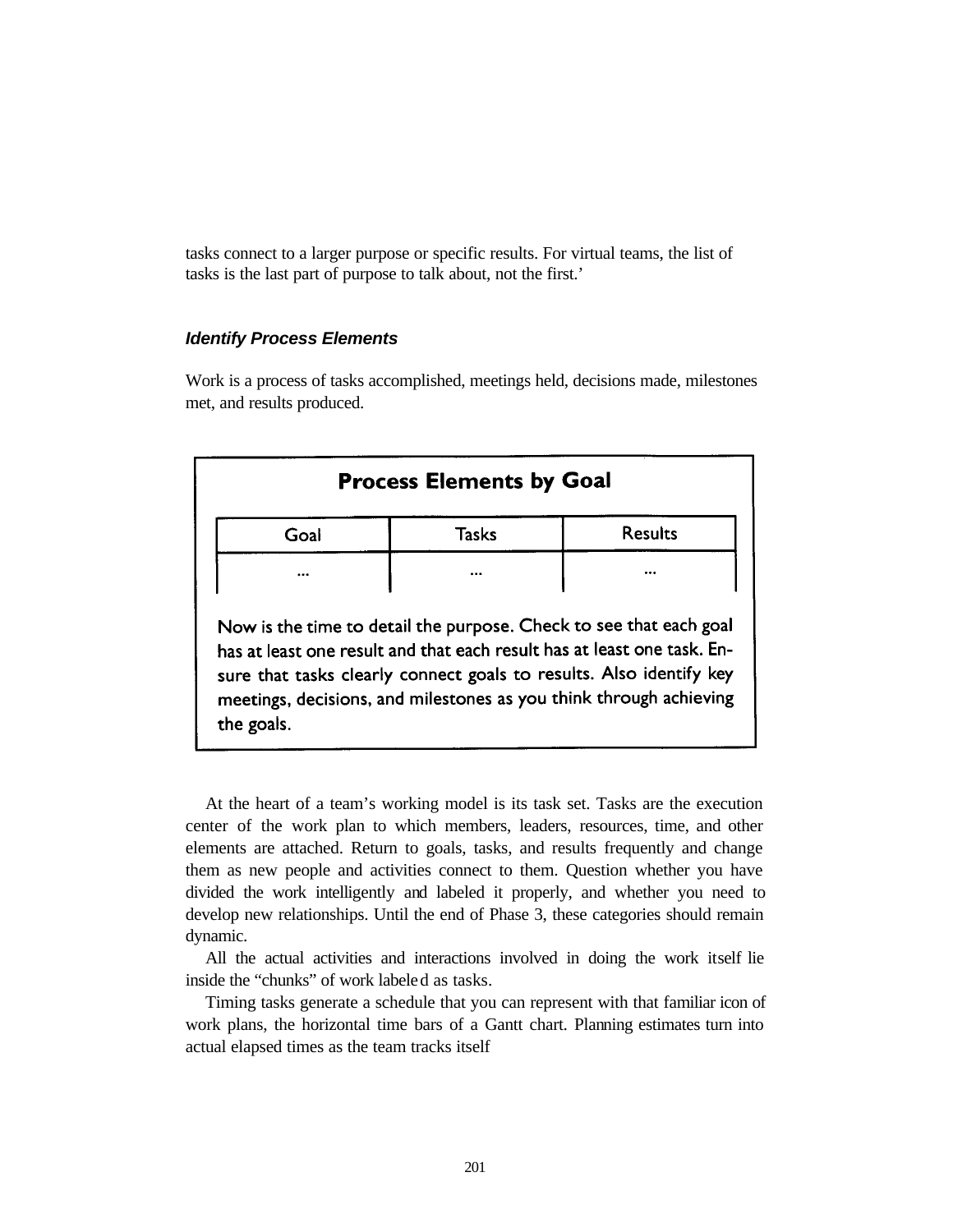tasks connect to a larger purpose or specific results. For virtual teams, the list of tasks is the last part of purpose to talk about, not the first.'

### *Identify Process Elements*

Work is a process of tasks accomplished, meetings held, decisions made, milestones met, and results produced.

|                                                                                                                                                                                                                                                                                                          | <b>Process Elements by Goal</b> |                |
|----------------------------------------------------------------------------------------------------------------------------------------------------------------------------------------------------------------------------------------------------------------------------------------------------------|---------------------------------|----------------|
| Goal                                                                                                                                                                                                                                                                                                     | Tasks                           | <b>Results</b> |
|                                                                                                                                                                                                                                                                                                          |                                 |                |
| Now is the time to detail the purpose. Check to see that each goal<br>has at least one result and that each result has at least one task. En-<br>sure that tasks clearly connect goals to results. Also identify key<br>meetings, decisions, and milestones as you think through achieving<br>the goals. |                                 |                |

At the heart of a team's working model is its task set. Tasks are the execution center of the work plan to which members, leaders, resources, time, and other elements are attached. Return to goals, tasks, and results frequently and change them as new people and activities connect to them. Question whether you have divided the work intelligently and labeled it properly, and whether you need to develop new relationships. Until the end of Phase 3, these categories should remain dynamic.

All the actual activities and interactions involved in doing the work itself lie inside the "chunks" of work labeled as tasks.

Timing tasks generate a schedule that you can represent with that familiar icon of work plans, the horizontal time bars of a Gantt chart. Planning estimates turn into actual elapsed times as the team tracks itself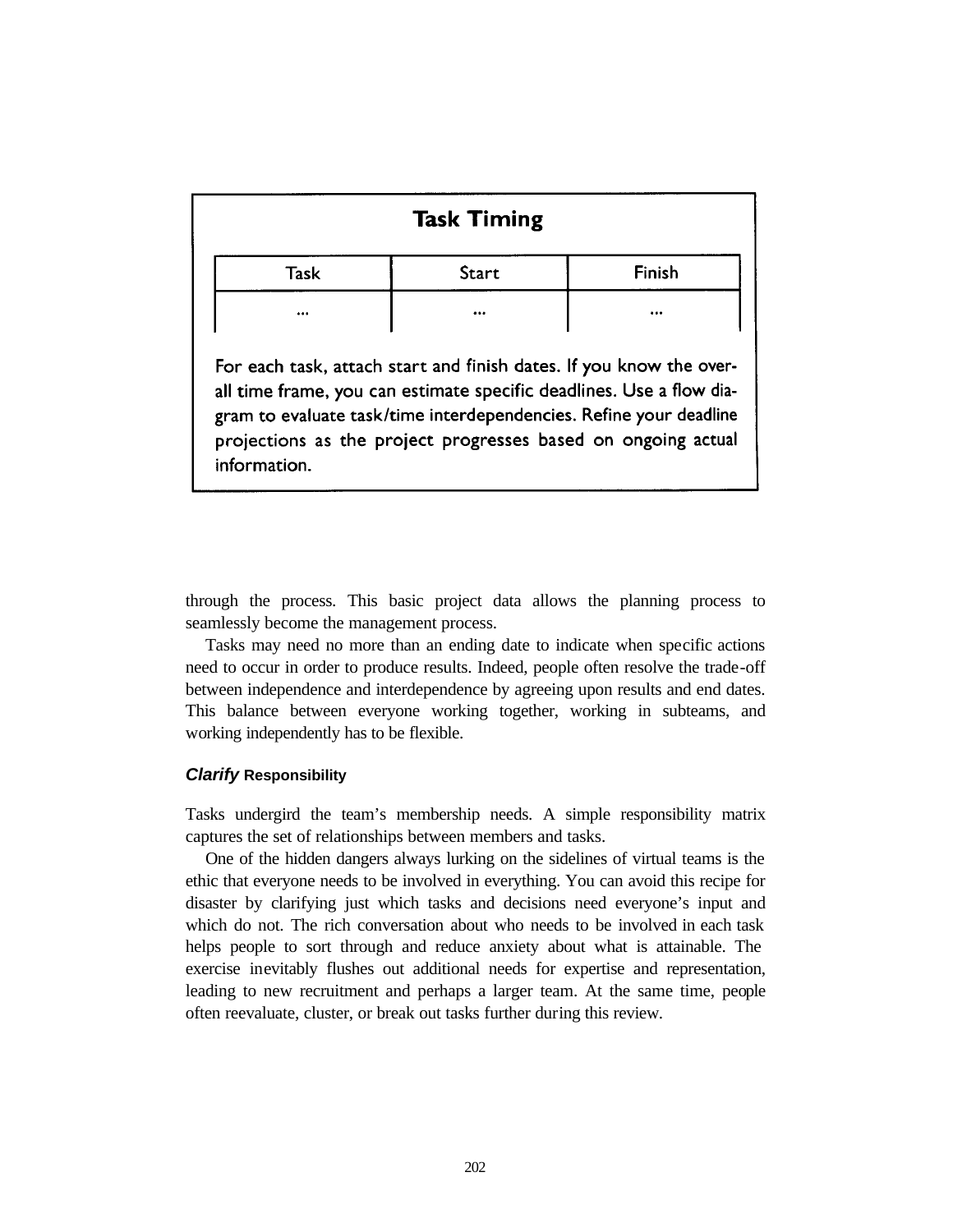| <b>Task Timing</b>                                                                                                                                                                                                                                                                                 |       |        |  |  |
|----------------------------------------------------------------------------------------------------------------------------------------------------------------------------------------------------------------------------------------------------------------------------------------------------|-------|--------|--|--|
| Task                                                                                                                                                                                                                                                                                               | Start | Finish |  |  |
| $\cdots$                                                                                                                                                                                                                                                                                           |       |        |  |  |
| For each task, attach start and finish dates. If you know the over-<br>all time frame, you can estimate specific deadlines. Use a flow dia-<br>gram to evaluate task/time interdependencies. Refine your deadline<br>projections as the project progresses based on ongoing actual<br>information. |       |        |  |  |

through the process. This basic project data allows the planning process to seamlessly become the management process.

Tasks may need no more than an ending date to indicate when specific actions need to occur in order to produce results. Indeed, people often resolve the trade-off between independence and interdependence by agreeing upon results and end dates. This balance between everyone working together, working in subteams, and working independently has to be flexible.

#### *Clarify* **Responsibility**

Tasks undergird the team's membership needs. A simple responsibility matrix captures the set of relationships between members and tasks.

One of the hidden dangers always lurking on the sidelines of virtual teams is the ethic that everyone needs to be involved in everything. You can avoid this recipe for disaster by clarifying just which tasks and decisions need everyone's input and which do not. The rich conversation about who needs to be involved in each task helps people to sort through and reduce anxiety about what is attainable. The exercise inevitably flushes out additional needs for expertise and representation, leading to new recruitment and perhaps a larger team. At the same time, people often reevaluate, cluster, or break out tasks further during this review.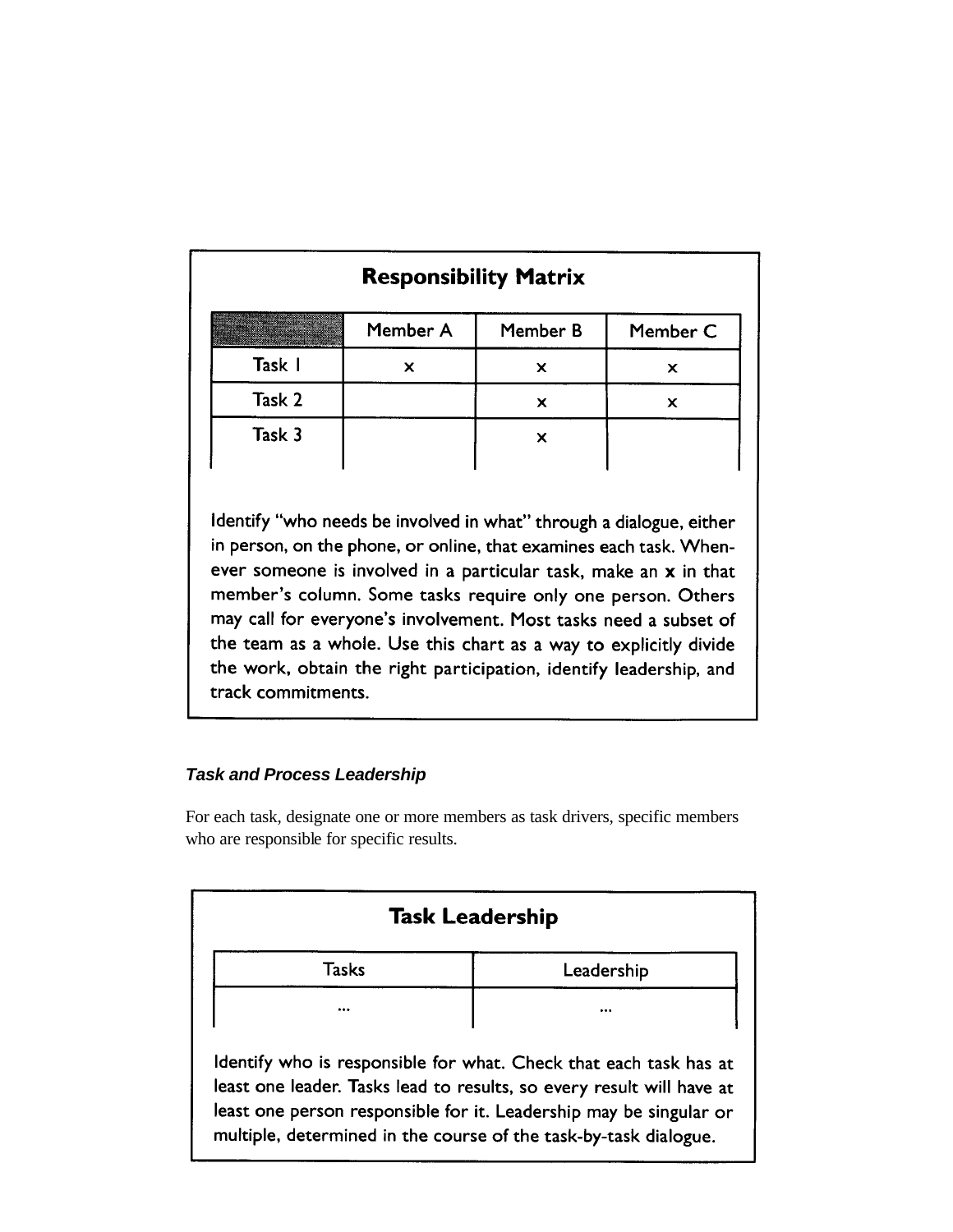| <b>Responsibility Matrix</b> |          |          |          |  |
|------------------------------|----------|----------|----------|--|
|                              | Member A | Member B | Member C |  |
| Task I                       | x        | x        | х        |  |
| Task 2                       |          | x        | x        |  |
| Task 3                       |          | x        |          |  |

Identify "who needs be involved in what" through a dialogue, either in person, on the phone, or online, that examines each task. Whenever someone is involved in a particular task, make an x in that member's column. Some tasks require only one person. Others may call for everyone's involvement. Most tasks need a subset of the team as a whole. Use this chart as a way to explicitly divide the work, obtain the right participation, identify leadership, and track commitments.

## *Task and Process Leadership*

For each task, designate one or more members as task drivers, specific members who are responsible for specific results.

| <b>Task Leadership</b>                                           |                                                                                                                                                                                                                  |  |  |  |
|------------------------------------------------------------------|------------------------------------------------------------------------------------------------------------------------------------------------------------------------------------------------------------------|--|--|--|
| Tasks                                                            | Leadership                                                                                                                                                                                                       |  |  |  |
|                                                                  |                                                                                                                                                                                                                  |  |  |  |
| multiple, determined in the course of the task-by-task dialogue. | Identify who is responsible for what. Check that each task has at<br>least one leader. Tasks lead to results, so every result will have at<br>least one person responsible for it. Leadership may be singular or |  |  |  |

203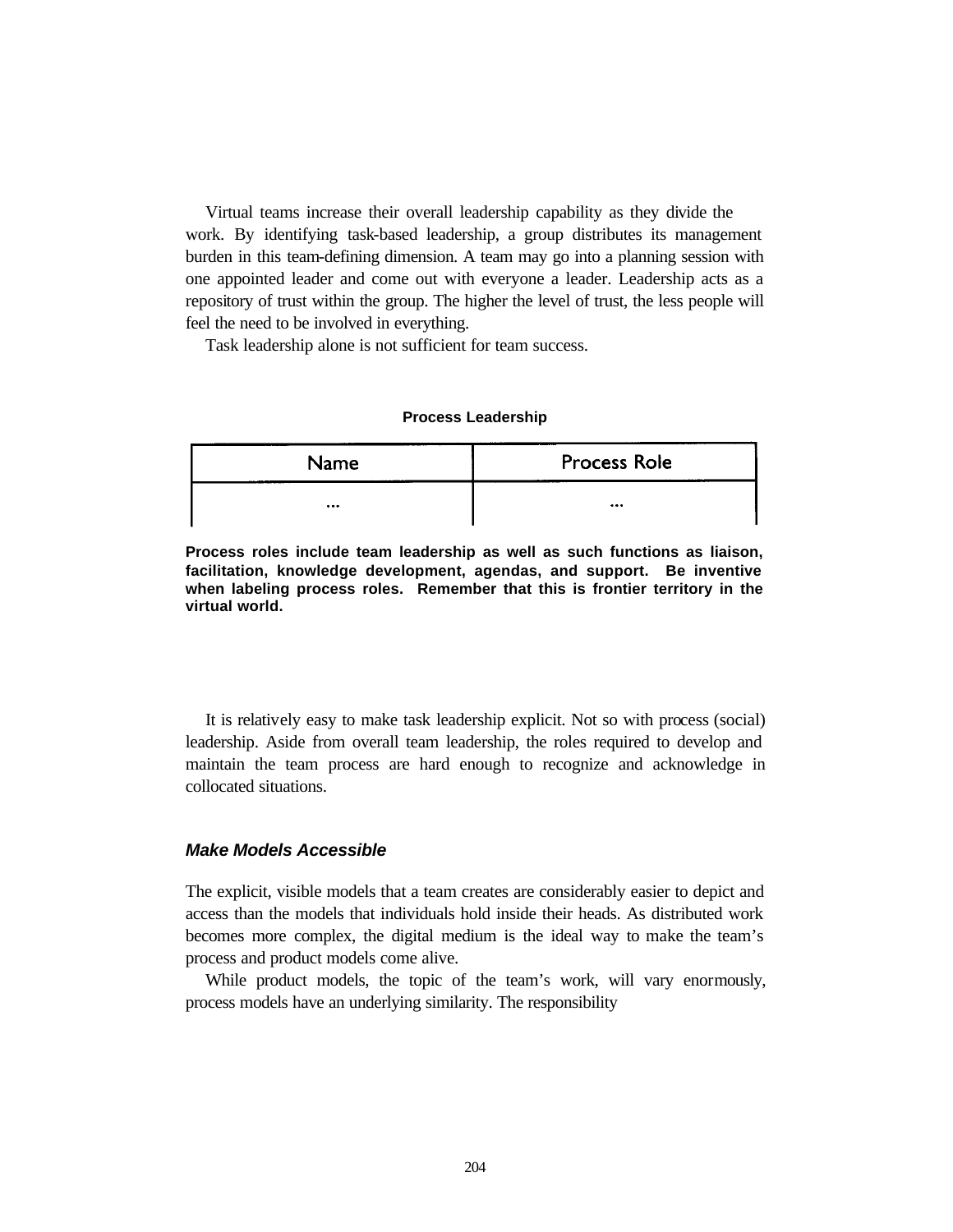Virtual teams increase their overall leadership capability as they divide the work. By identifying task-based leadership, a group distributes its management burden in this team-defining dimension. A team may go into a planning session with one appointed leader and come out with everyone a leader. Leadership acts as a repository of trust within the group. The higher the level of trust, the less people will feel the need to be involved in everything.

Task leadership alone is not sufficient for team success.

#### **Process Leadership**

| <b>Name</b> | <b>Process Role</b> |
|-------------|---------------------|
| $\cdots$    |                     |

**Process roles include team leadership as well as such functions as liaison, facilitation, knowledge development, agendas, and support. Be inventive when labeling process roles. Remember that this is frontier territory in the virtual world.**

It is relatively easy to make task leadership explicit. Not so with process (social) leadership. Aside from overall team leadership, the roles required to develop and maintain the team process are hard enough to recognize and acknowledge in collocated situations.

#### *Make Models Accessible*

The explicit, visible models that a team creates are considerably easier to depict and access than the models that individuals hold inside their heads. As distributed work becomes more complex, the digital medium is the ideal way to make the team's process and product models come alive.

While product models, the topic of the team's work, will vary enormously, process models have an underlying similarity. The responsibility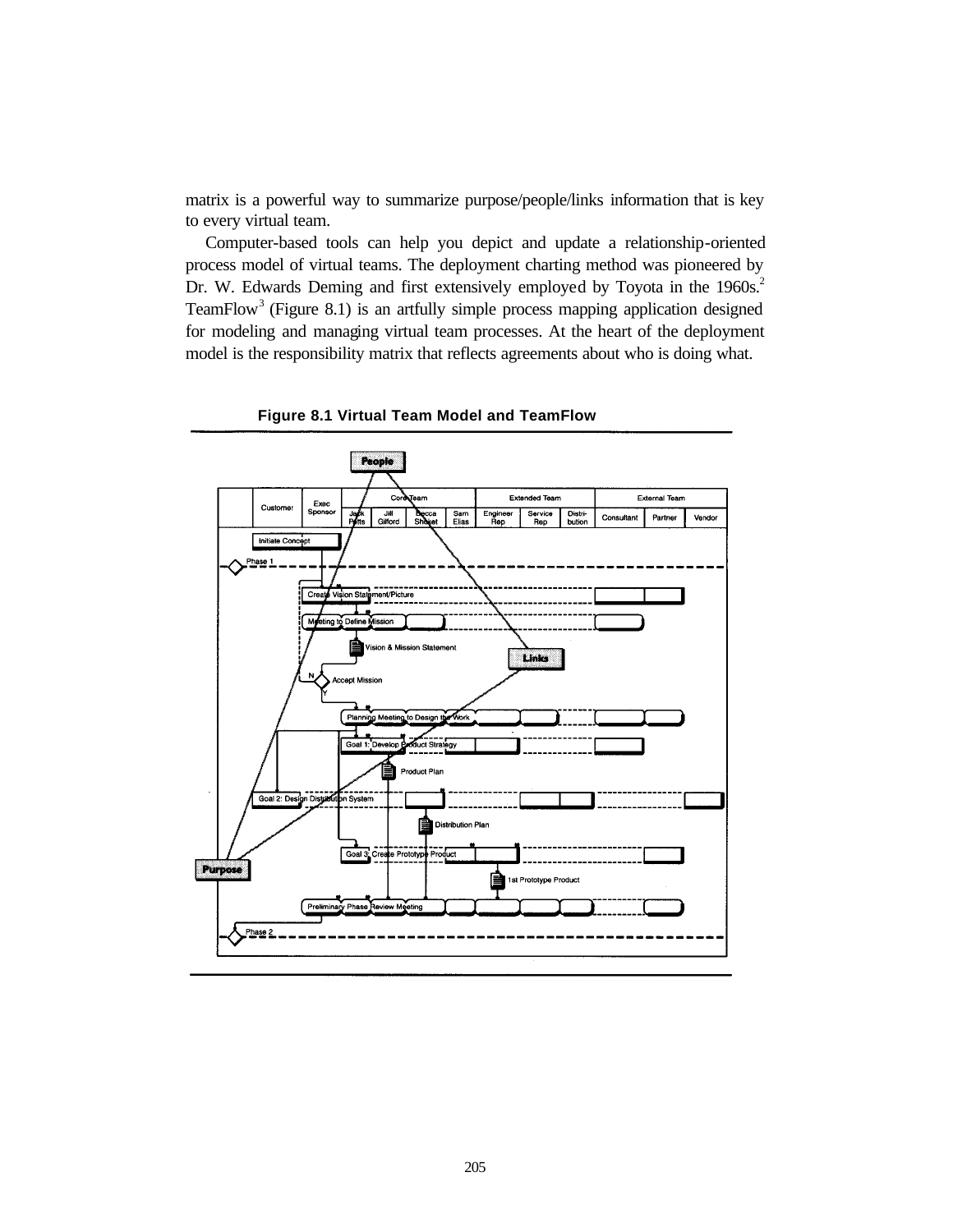matrix is a powerful way to summarize purpose/people/links information that is key to every virtual team.

Computer-based tools can help you depict and update a relationship-oriented process model of virtual teams. The deployment charting method was pioneered by Dr. W. Edwards Deming and first extensively employed by Toyota in the 1960s.<sup>2</sup> TeamFlow<sup>3</sup> (Figure 8.1) is an artfully simple process mapping application designed for modeling and managing virtual team processes. At the heart of the deployment model is the responsibility matrix that reflects agreements about who is doing what.



**Figure 8.1 Virtual Team Model and TeamFlow**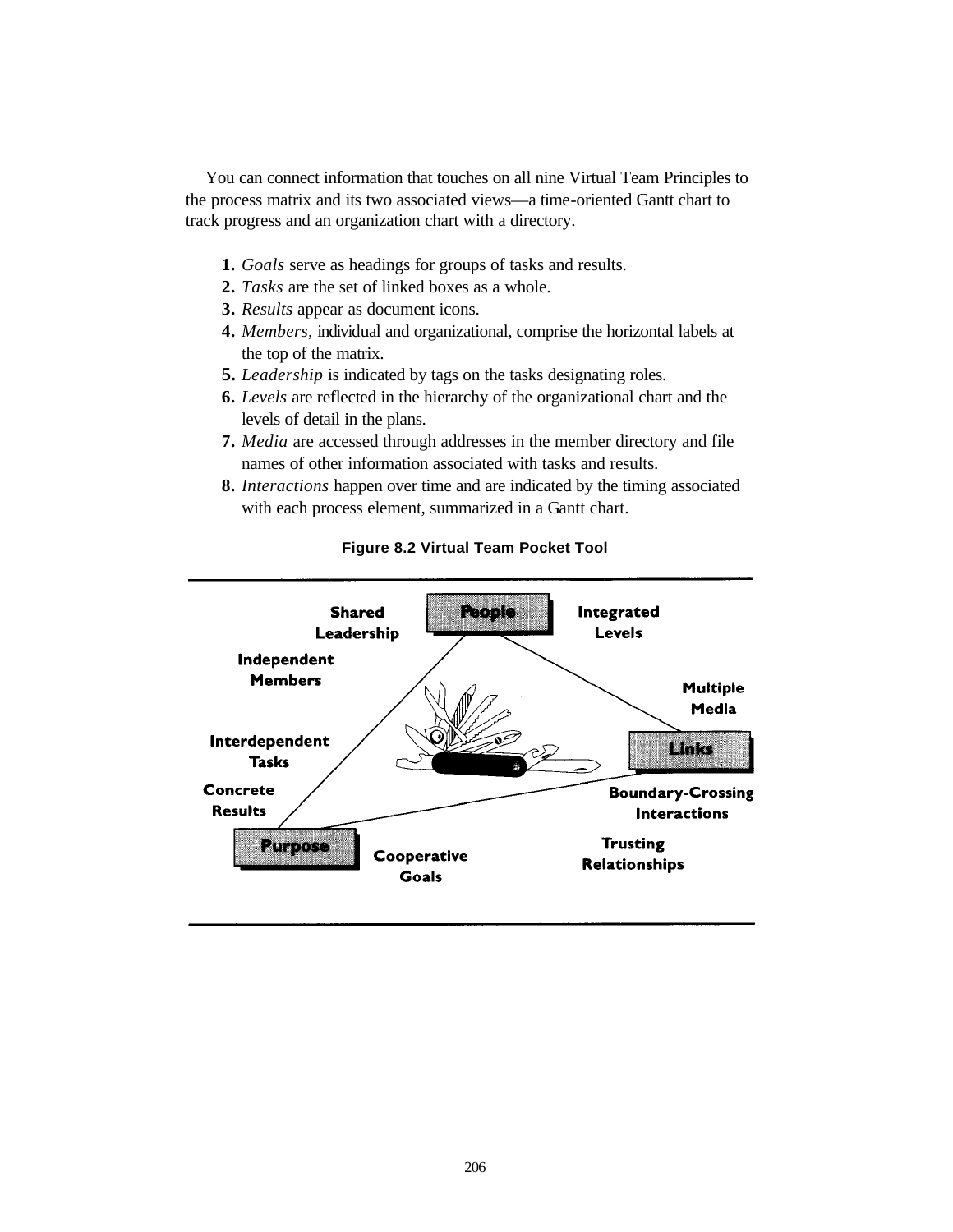You can connect information that touches on all nine Virtual Team Principles to the process matrix and its two associated views—a time-oriented Gantt chart to track progress and an organization chart with a directory.

- **1.** *Goals* serve as headings for groups of tasks and results.
- **2.** *Tasks* are the set of linked boxes as a whole.
- **3.** *Results* appear as document icons.
- **4.** *Members,* individual and organizational, comprise the horizontal labels at the top of the matrix.
- **5.** *Leadership* is indicated by tags on the tasks designating roles.
- **6.** *Levels* are reflected in the hierarchy of the organizational chart and the levels of detail in the plans.
- **7.** *Media* are accessed through addresses in the member directory and file names of other information associated with tasks and results.
- **8.** *Interactions* happen over time and are indicated by the timing associated with each process element, summarized in a Gantt chart.



#### **Figure 8.2 Virtual Team Pocket Tool**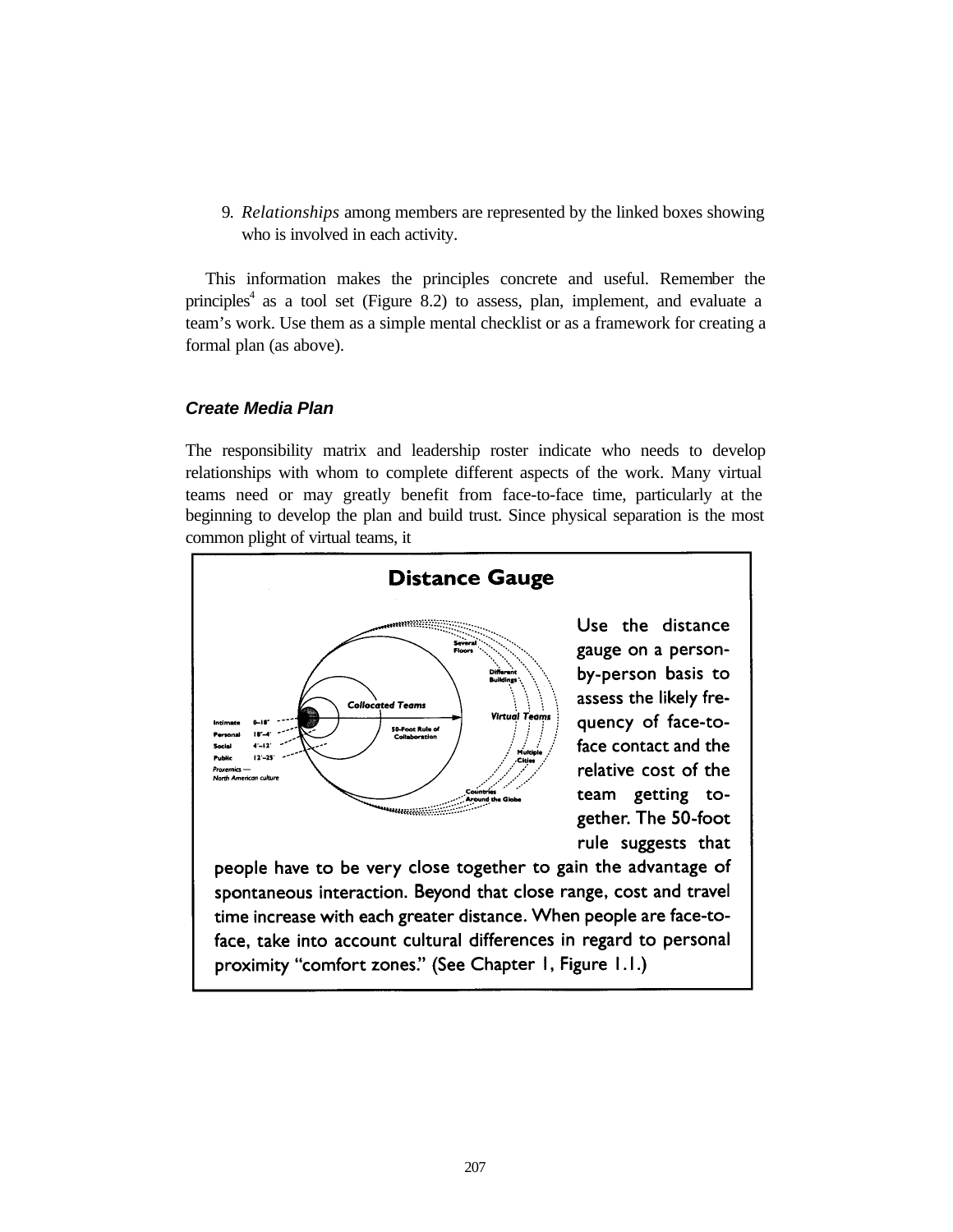9. *Relationships* among members are represented by the linked boxes showing who is involved in each activity.

This information makes the principles concrete and useful. Remember the principles<sup>4</sup> as a tool set (Figure 8.2) to assess, plan, implement, and evaluate a team's work. Use them as a simple mental checklist or as a framework for creating a formal plan (as above).

### *Create Media Plan*

The responsibility matrix and leadership roster indicate who needs to develop relationships with whom to complete different aspects of the work. Many virtual teams need or may greatly benefit from face-to-face time, particularly at the beginning to develop the plan and build trust. Since physical separation is the most common plight of virtual teams, it

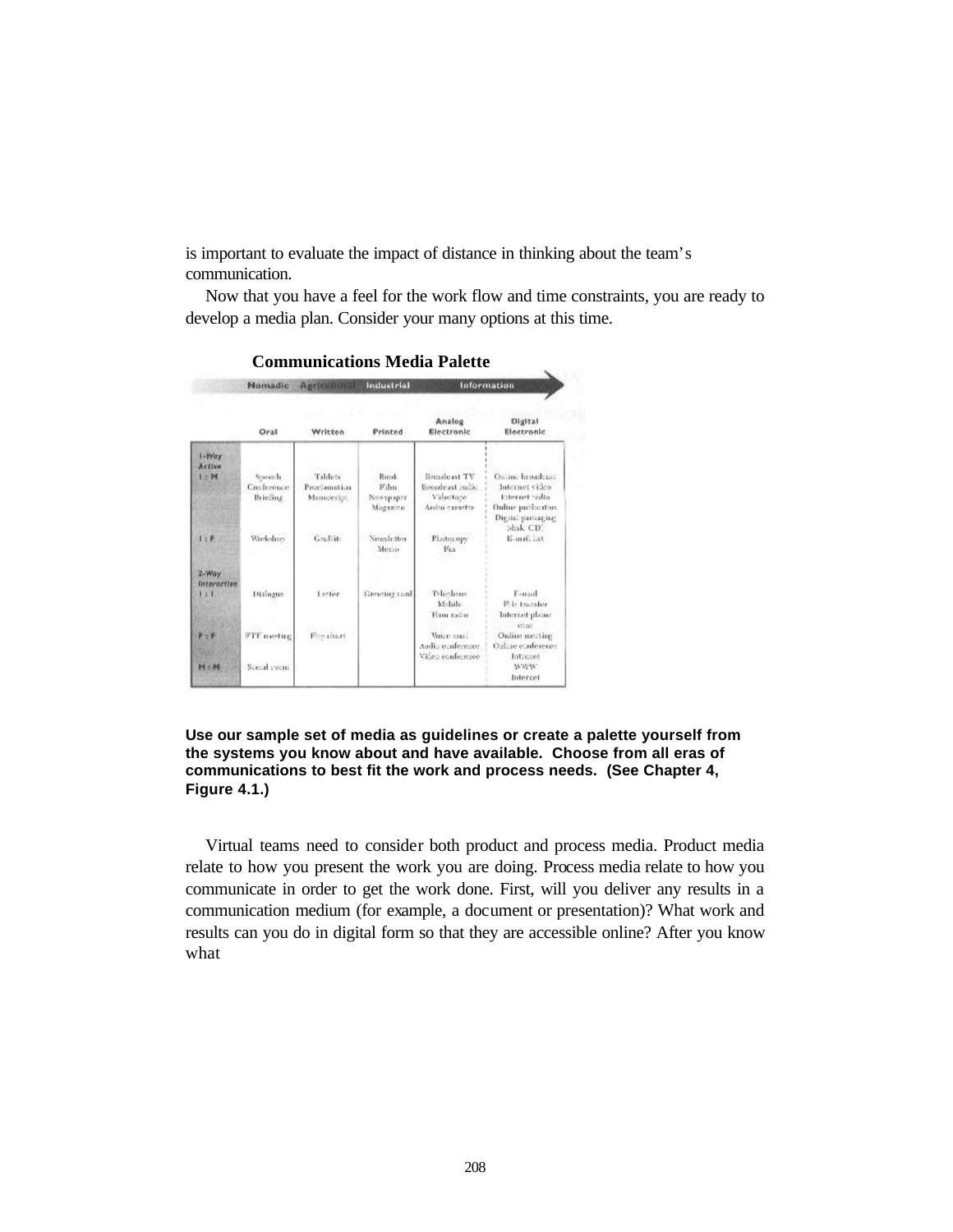is important to evaluate the impact of distance in thinking about the team's communication.

Now that you have a feel for the work flow and time constraints, you are ready to develop a media plan. Consider your many options at this time.



## **Communications Media Palette**

**Use our sample set of media as guidelines or create a palette yourself from the systems you know about and have available. Choose from all eras of communications to best fit the work and process needs. (See Chapter 4, Figure 4.1.)**

Virtual teams need to consider both product and process media. Product media relate to how you present the work you are doing. Process media relate to how you communicate in order to get the work done. First, will you deliver any results in a communication medium (for example, a document or presentation)? What work and results can you do in digital form so that they are accessible online? After you know what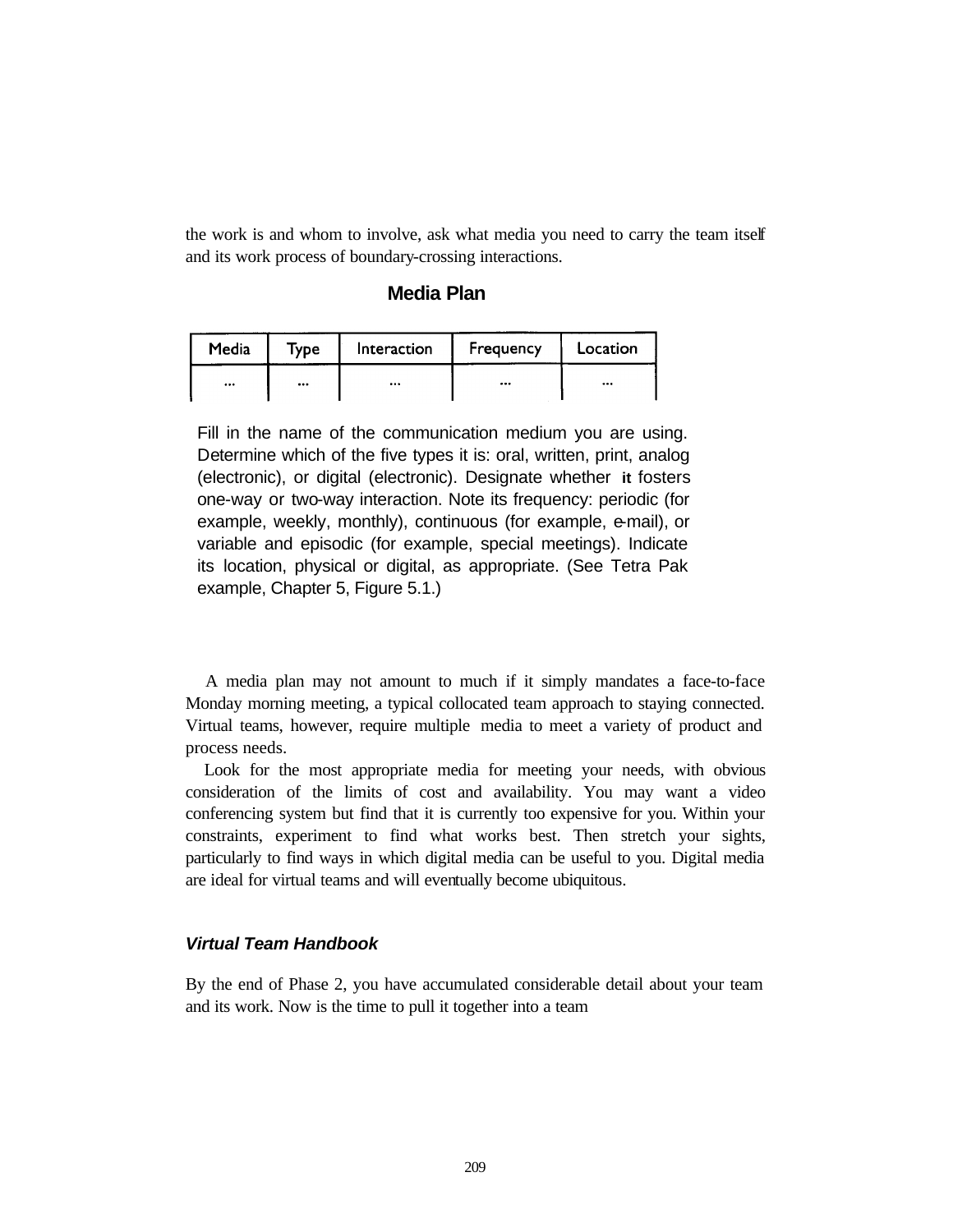the work is and whom to involve, ask what media you need to carry the team itself and its work process of boundary-crossing interactions.

### **Media Plan**

| Media | Гуре     | Interaction | Frequency | Location |
|-------|----------|-------------|-----------|----------|
|       | $\cdots$ |             |           |          |

Fill in the name of the communication medium you are using. Determine which of the five types it is: oral, written, print, analog (electronic), or digital (electronic). Designate whether **it** fosters one-way or two-way interaction. Note its frequency: periodic (for example, weekly, monthly), continuous (for example, e-mail), or variable and episodic (for example, special meetings). Indicate its location, physical or digital, as appropriate. (See Tetra Pak example, Chapter 5, Figure 5.1.)

A media plan may not amount to much if it simply mandates a face-to-face Monday morning meeting, a typical collocated team approach to staying connected. Virtual teams, however, require multiple media to meet a variety of product and process needs.

Look for the most appropriate media for meeting your needs, with obvious consideration of the limits of cost and availability. You may want a video conferencing system but find that it is currently too expensive for you. Within your constraints, experiment to find what works best. Then stretch your sights, particularly to find ways in which digital media can be useful to you. Digital media are ideal for virtual teams and will eventually become ubiquitous.

### *Virtual Team Handbook*

By the end of Phase 2, you have accumulated considerable detail about your team and its work. Now is the time to pull it together into a team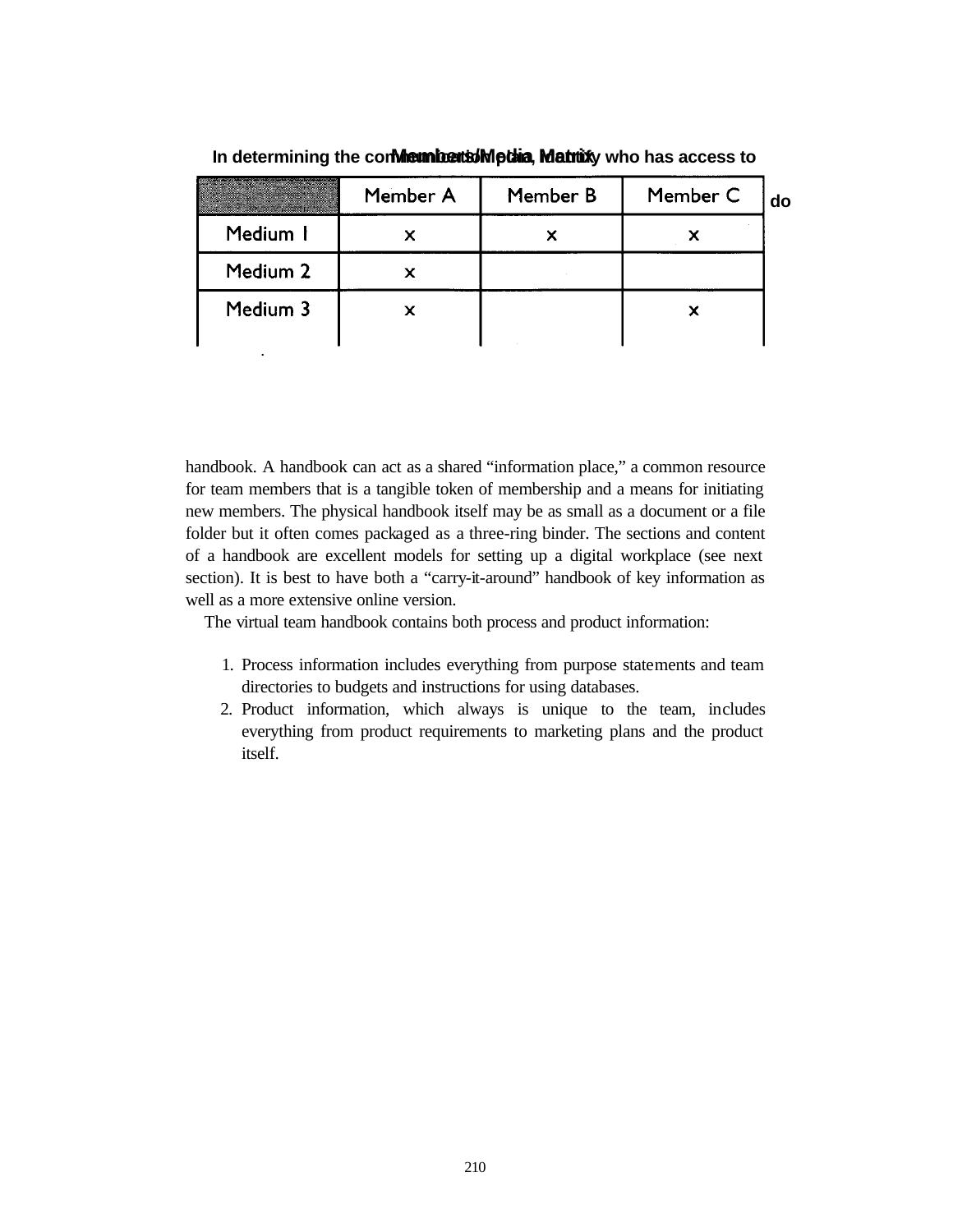|          | Member A | Member B | Member C | do |
|----------|----------|----------|----------|----|
| Medium I |          |          |          |    |
| Medium 2 |          |          |          |    |
| Medium 3 |          |          |          |    |
|          |          |          |          |    |

In determining the comminent between plans, **Matrix** who has access to

handbook. A handbook can act as a shared "information place," a common resource for team members that is a tangible token of membership and a means for initiating new members. The physical handbook itself may be as small as a document or a file folder but it often comes packaged as a three-ring binder. The sections and content of a handbook are excellent models for setting up a digital workplace (see next section). It is best to have both a "carry-it-around" handbook of key information as well as a more extensive online version.

The virtual team handbook contains both process and product information:

- 1. Process information includes everything from purpose statements and team directories to budgets and instructions for using databases.
- 2. Product information, which always is unique to the team, includes everything from product requirements to marketing plans and the product itself.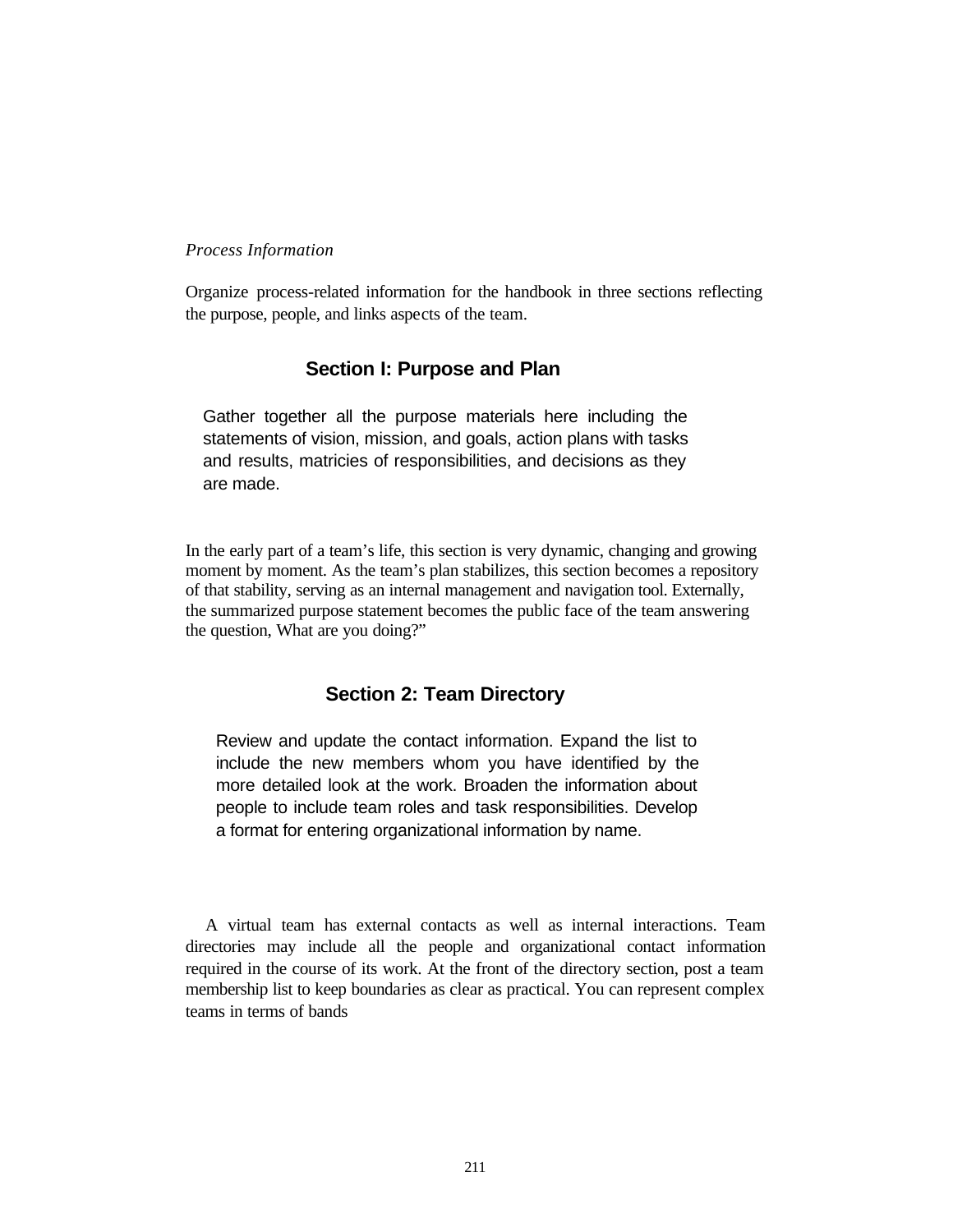#### *Process Information*

Organize process-related information for the handbook in three sections reflecting the purpose, people, and links aspects of the team.

### **Section I: Purpose and Plan**

Gather together all the purpose materials here including the statements of vision, mission, and goals, action plans with tasks and results, matricies of responsibilities, and decisions as they are made.

In the early part of a team's life, this section is very dynamic, changing and growing moment by moment. As the team's plan stabilizes, this section becomes a repository of that stability, serving as an internal management and navigation tool. Externally, the summarized purpose statement becomes the public face of the team answering the question, What are you doing?"

### **Section 2: Team Directory**

Review and update the contact information. Expand the list to include the new members whom you have identified by the more detailed look at the work. Broaden the information about people to include team roles and task responsibilities. Develop a format for entering organizational information by name.

A virtual team has external contacts as well as internal interactions. Team directories may include all the people and organizational contact information required in the course of its work. At the front of the directory section, post a team membership list to keep boundaries as clear as practical. You can represent complex teams in terms of bands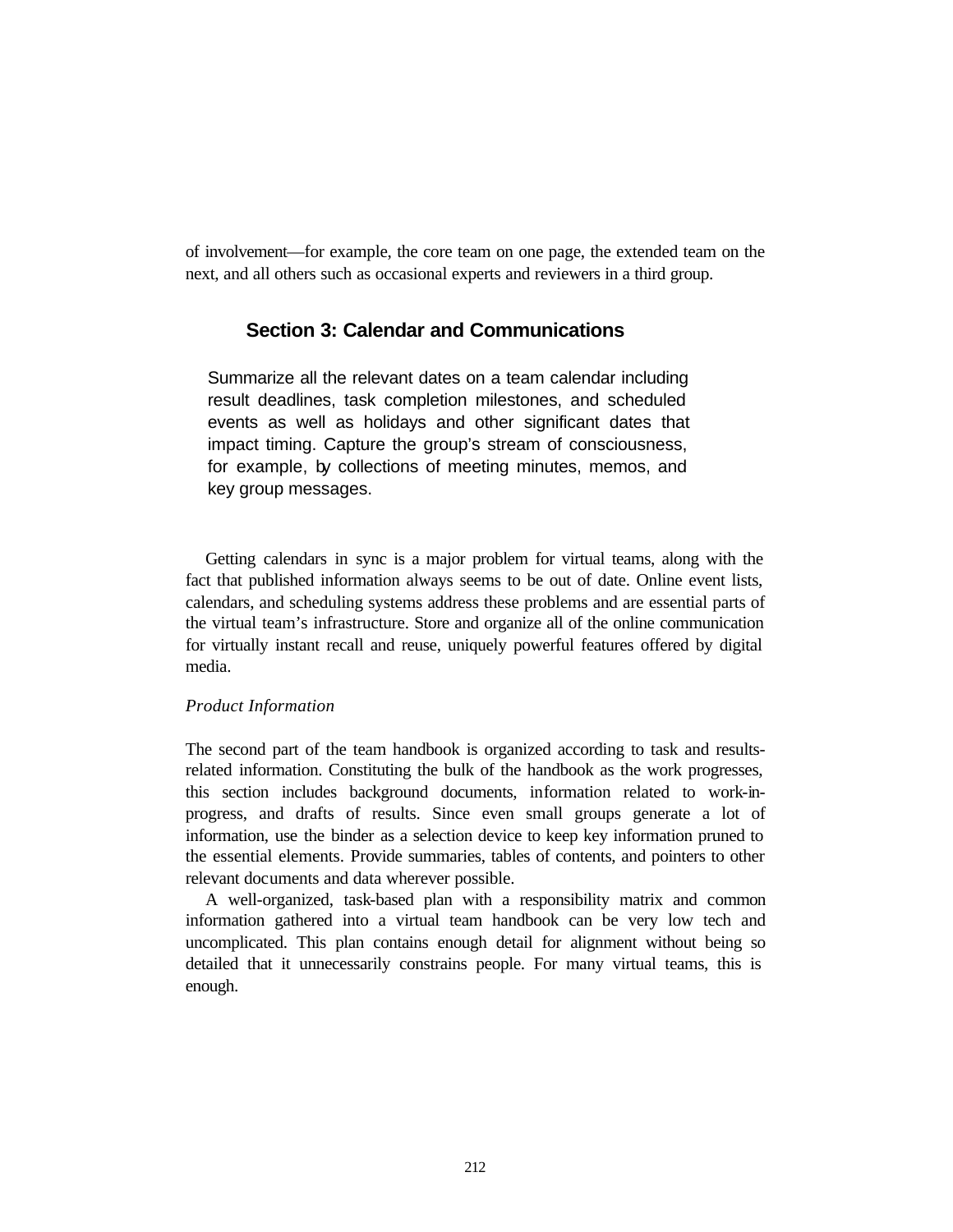of involvement—for example, the core team on one page, the extended team on the next, and all others such as occasional experts and reviewers in a third group.

### **Section 3: Calendar and Communications**

Summarize all the relevant dates on a team calendar including result deadlines, task completion milestones, and scheduled events as well as holidays and other significant dates that impact timing. Capture the group's stream of consciousness, for example, by collections of meeting minutes, memos, and key group messages.

Getting calendars in sync is a major problem for virtual teams, along with the fact that published information always seems to be out of date. Online event lists, calendars, and scheduling systems address these problems and are essential parts of the virtual team's infrastructure. Store and organize all of the online communication for virtually instant recall and reuse, uniquely powerful features offered by digital media.

#### *Product Information*

The second part of the team handbook is organized according to task and resultsrelated information. Constituting the bulk of the handbook as the work progresses, this section includes background documents, information related to work-inprogress, and drafts of results. Since even small groups generate a lot of information, use the binder as a selection device to keep key information pruned to the essential elements. Provide summaries, tables of contents, and pointers to other relevant documents and data wherever possible.

A well-organized, task-based plan with a responsibility matrix and common information gathered into a virtual team handbook can be very low tech and uncomplicated. This plan contains enough detail for alignment without being so detailed that it unnecessarily constrains people. For many virtual teams, this is enough.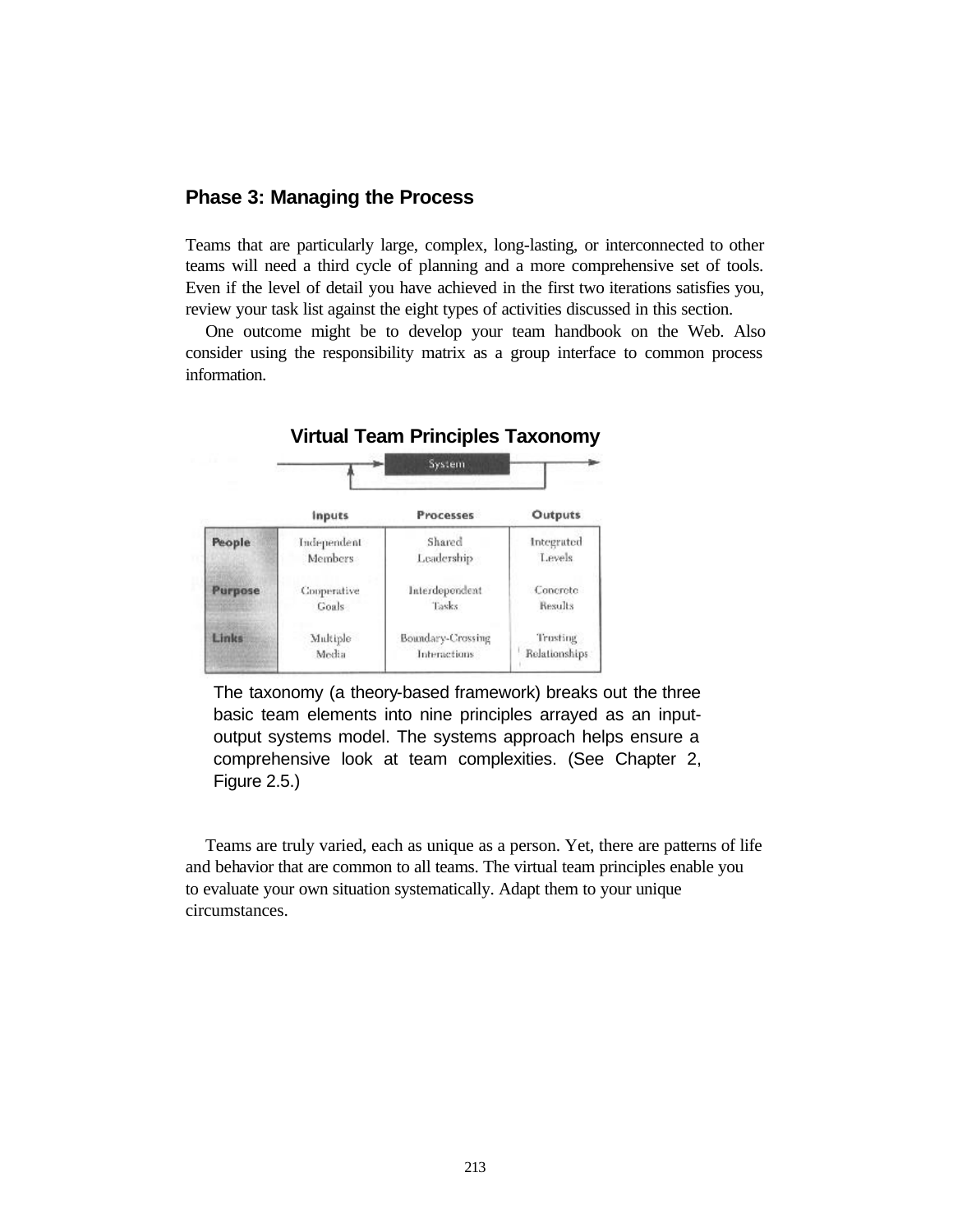### **Phase 3: Managing the Process**

Teams that are particularly large, complex, long-lasting, or interconnected to other teams will need a third cycle of planning and a more comprehensive set of tools. Even if the level of detail you have achieved in the first two iterations satisfies you, review your task list against the eight types of activities discussed in this section.

One outcome might be to develop your team handbook on the Web. Also consider using the responsibility matrix as a group interface to common process information.



The taxonomy (a theory-based framework) breaks out the three basic team elements into nine principles arrayed as an inputoutput systems model. The systems approach helps ensure a comprehensive look at team complexities. (See Chapter 2, Figure 2.5.)

Teams are truly varied, each as unique as a person. Yet, there are patterns of life and behavior that are common to all teams. The virtual team principles enable you to evaluate your own situation systematically. Adapt them to your unique circumstances.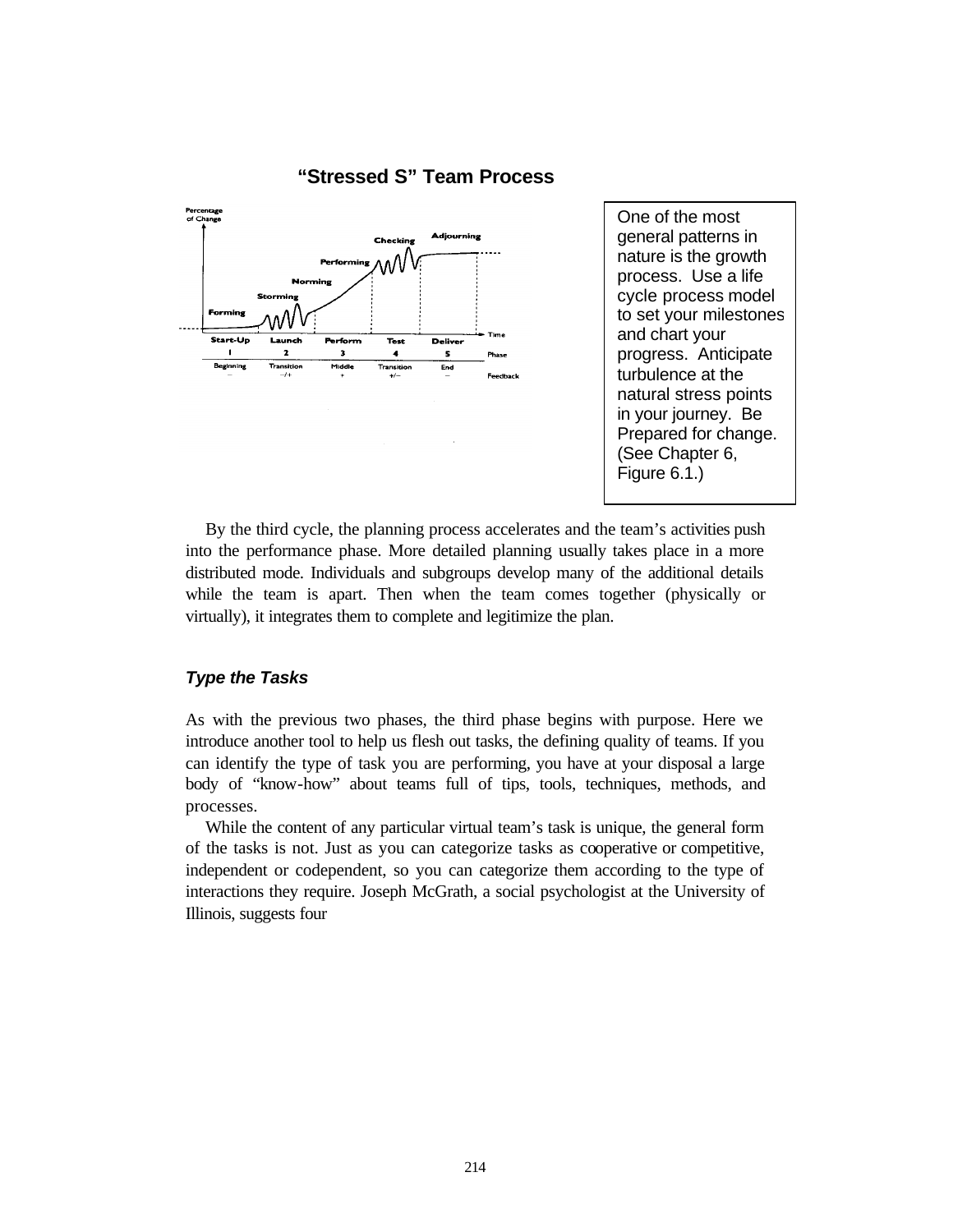### **"Stressed S" Team Process**



One of the most general patterns in nature is the growth process. Use a life cycle process model to set your milestones and chart your progress. Anticipate turbulence at the natural stress points in your journey. Be Prepared for change. (See Chapter 6, Figure 6.1.)

By the third cycle, the planning process accelerates and the team's activities push into the performance phase. More detailed planning usually takes place in a more distributed mode. Individuals and subgroups develop many of the additional details while the team is apart. Then when the team comes together (physically or virtually), it integrates them to complete and legitimize the plan.

#### *Type the Tasks*

As with the previous two phases, the third phase begins with purpose. Here we introduce another tool to help us flesh out tasks, the defining quality of teams. If you can identify the type of task you are performing, you have at your disposal a large body of "know-how" about teams full of tips, tools, techniques, methods, and processes.

While the content of any particular virtual team's task is unique, the general form of the tasks is not. Just as you can categorize tasks as cooperative or competitive, independent or codependent, so you can categorize them according to the type of interactions they require. Joseph McGrath, a social psychologist at the University of Illinois, suggests four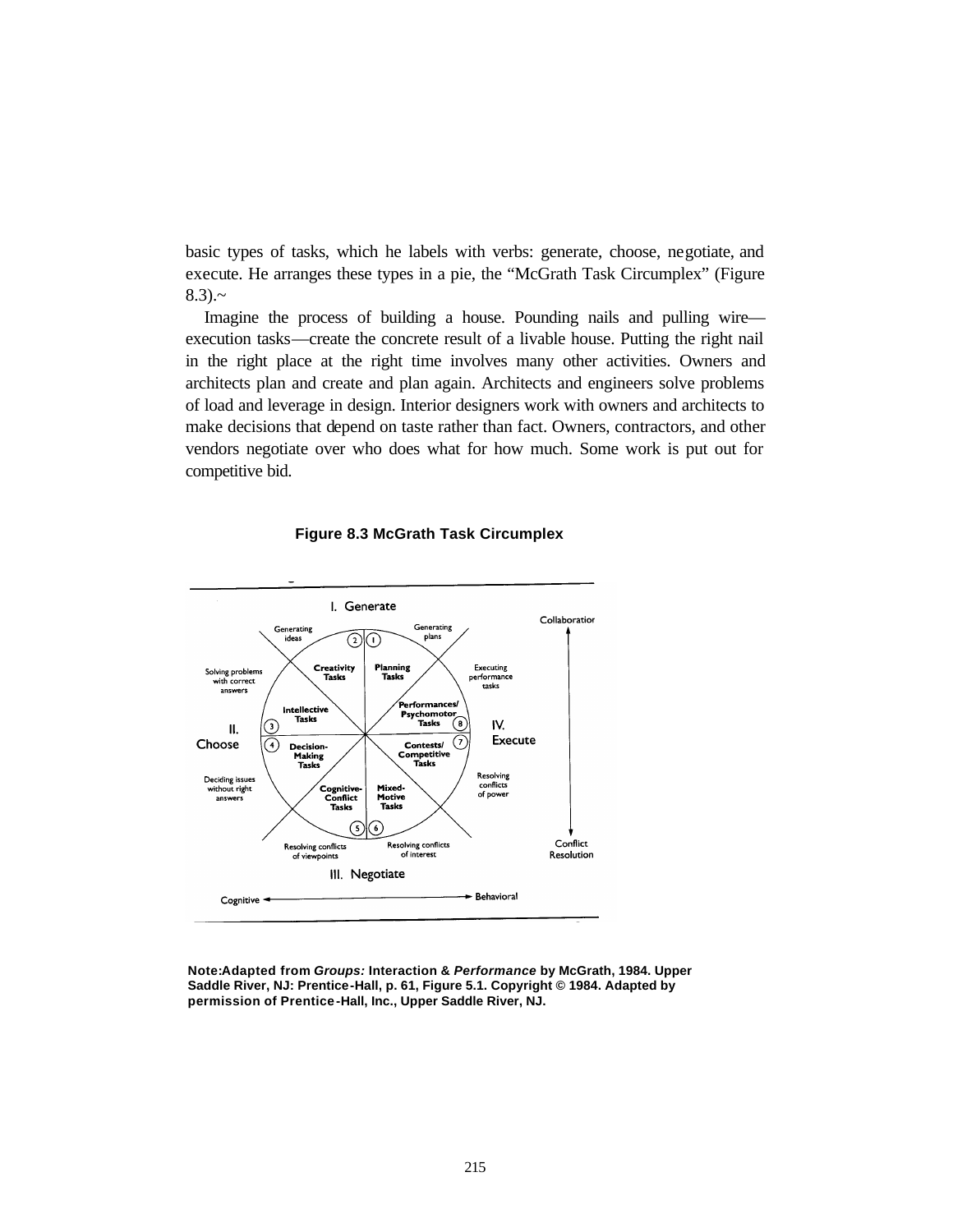basic types of tasks, which he labels with verbs: generate, choose, negotiate, and execute. He arranges these types in a pie, the "McGrath Task Circumplex" (Figure  $8.3$ ).~

Imagine the process of building a house. Pounding nails and pulling wire execution tasks—create the concrete result of a livable house. Putting the right nail in the right place at the right time involves many other activities. Owners and architects plan and create and plan again. Architects and engineers solve problems of load and leverage in design. Interior designers work with owners and architects to make decisions that depend on taste rather than fact. Owners, contractors, and other vendors negotiate over who does what for how much. Some work is put out for competitive bid.





**Note:Adapted from** *Groups:* **Interaction &** *Performance* **by McGrath, 1984. Upper Saddle River, NJ: Prentice-Hall, p. 61, Figure 5.1. Copyright © 1984. Adapted by permission of Prentice-Hall, Inc., Upper Saddle River, NJ.**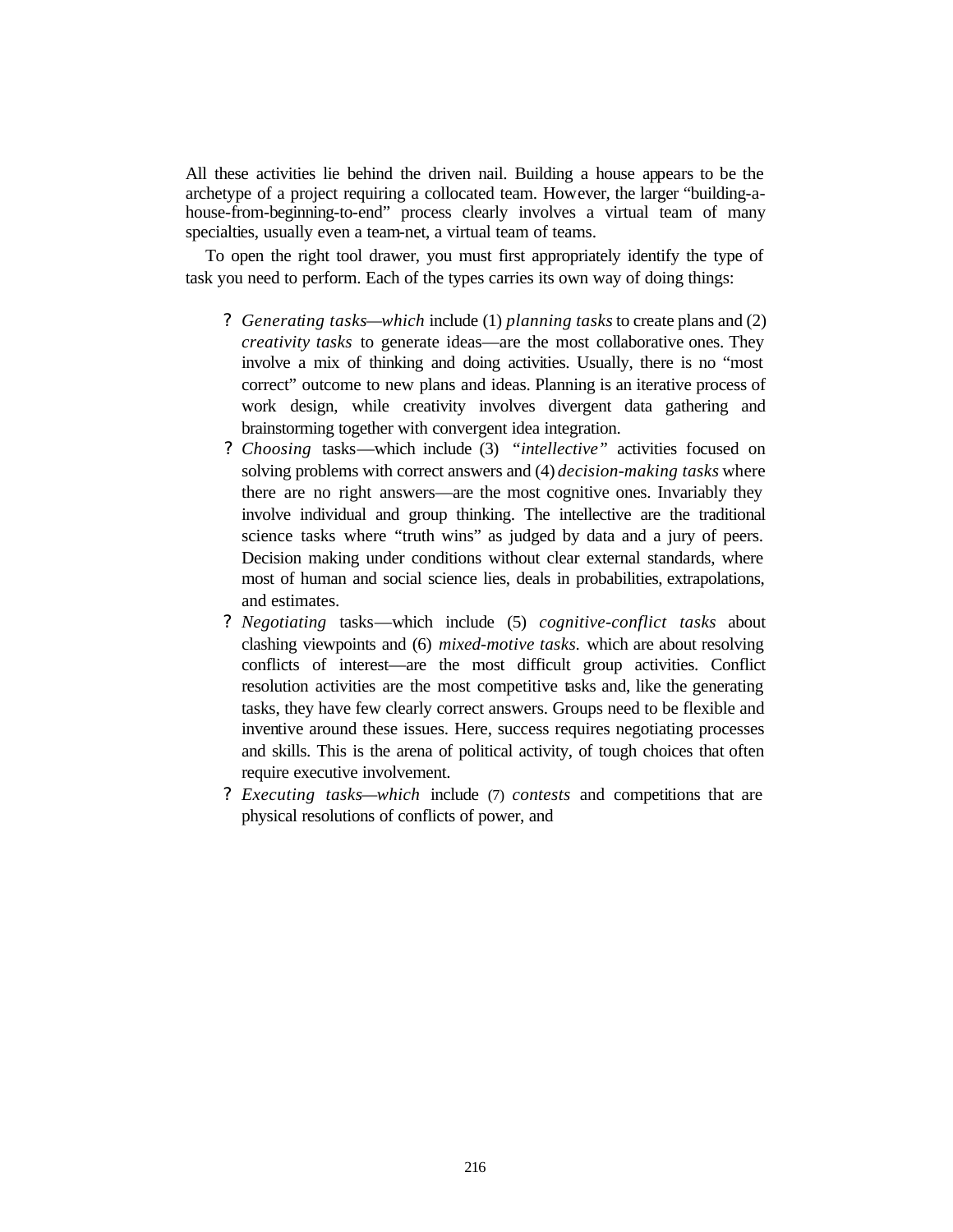All these activities lie behind the driven nail. Building a house appears to be the archetype of a project requiring a collocated team. However, the larger "building-ahouse-from-beginning-to-end" process clearly involves a virtual team of many specialties, usually even a team-net, a virtual team of teams.

To open the right tool drawer, you must first appropriately identify the type of task you need to perform. Each of the types carries its own way of doing things:

- *? Generating tasks—which* include (1) *planning tasks* to create plans and (2) *creativity tasks* to generate ideas—are the most collaborative ones. They involve a mix of thinking and doing activities. Usually, there is no "most correct" outcome to new plans and ideas. Planning is an iterative process of work design, while creativity involves divergent data gathering and brainstorming together with convergent idea integration.
- *? Choosing* tasks—which include (3) *"intellective"* activities focused on solving problems with correct answers and (4) *decision-making tasks* where there are no right answers—are the most cognitive ones. Invariably they involve individual and group thinking. The intellective are the traditional science tasks where "truth wins" as judged by data and a jury of peers. Decision making under conditions without clear external standards, where most of human and social science lies, deals in probabilities, extrapolations, and estimates.
- *? Negotiating* tasks—which include (5) *cognitive-conflict tasks* about clashing viewpoints and (6) *mixed-motive tasks.* which are about resolving conflicts of interest—are the most difficult group activities. Conflict resolution activities are the most competitive tasks and, like the generating tasks, they have few clearly correct answers. Groups need to be flexible and inventive around these issues. Here, success requires negotiating processes and skills. This is the arena of political activity, of tough choices that often require executive involvement.
- *? Executing tasks—which* include (7) *contests* and competitions that are physical resolutions of conflicts of power, and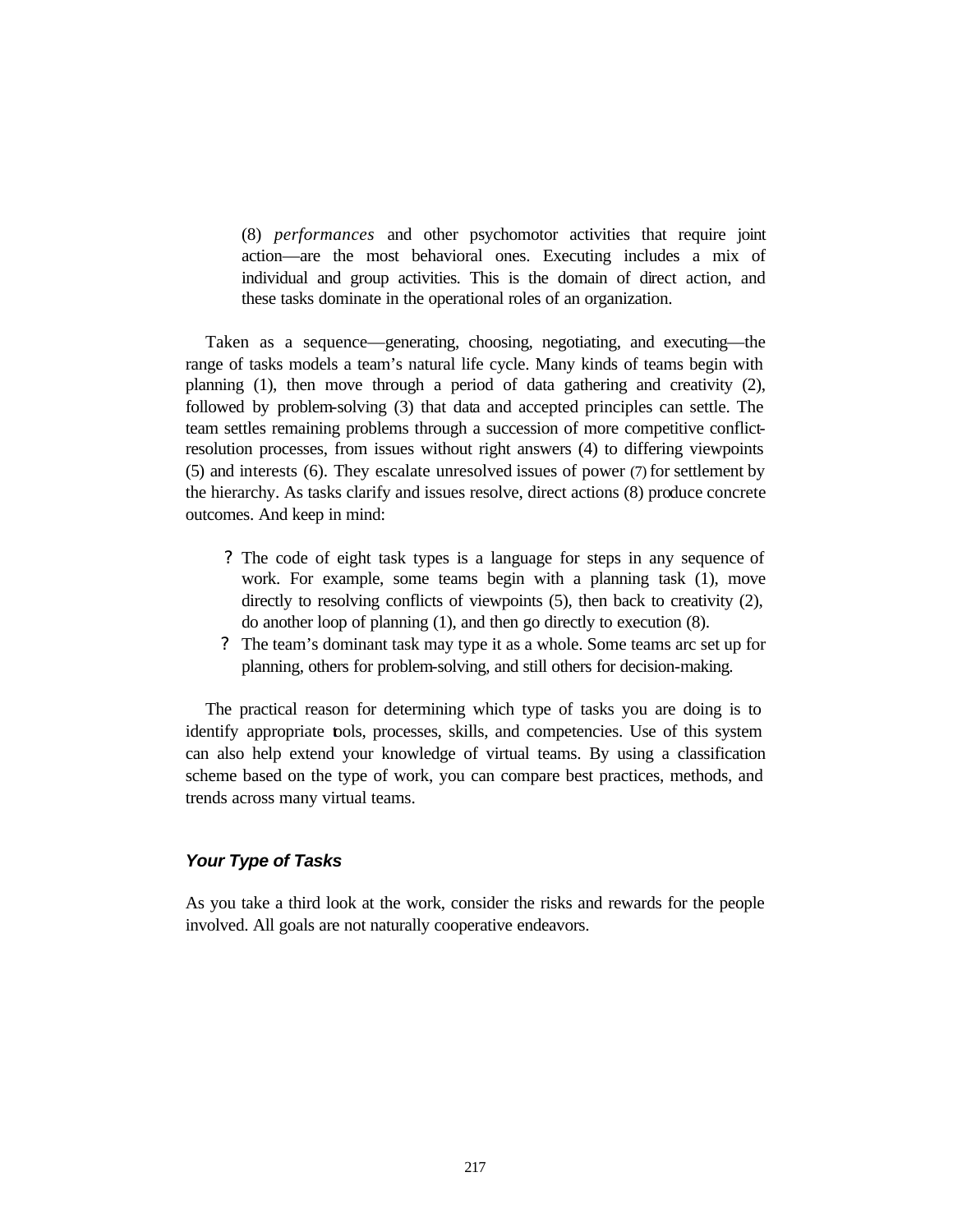(8) *performances* and other psychomotor activities that require joint action—are the most behavioral ones. Executing includes a mix of individual and group activities. This is the domain of direct action, and these tasks dominate in the operational roles of an organization.

Taken as a sequence—generating, choosing, negotiating, and executing—the range of tasks models a team's natural life cycle. Many kinds of teams begin with planning (1), then move through a period of data gathering and creativity (2), followed by problem-solving (3) that data and accepted principles can settle. The team settles remaining problems through a succession of more competitive conflictresolution processes, from issues without right answers (4) to differing viewpoints (5) and interests (6). They escalate unresolved issues of power (7) for settlement by the hierarchy. As tasks clarify and issues resolve, direct actions (8) produce concrete outcomes. And keep in mind:

- ? The code of eight task types is a language for steps in any sequence of work. For example, some teams begin with a planning task (1), move directly to resolving conflicts of viewpoints (5), then back to creativity (2), do another loop of planning (1), and then go directly to execution (8).
- ? The team's dominant task may type it as a whole. Some teams arc set up for planning, others for problem-solving, and still others for decision-making.

The practical reason for determining which type of tasks you are doing is to identify appropriate tools, processes, skills, and competencies. Use of this system can also help extend your knowledge of virtual teams. By using a classification scheme based on the type of work, you can compare best practices, methods, and trends across many virtual teams.

### *Your Type of Tasks*

As you take a third look at the work, consider the risks and rewards for the people involved. All goals are not naturally cooperative endeavors.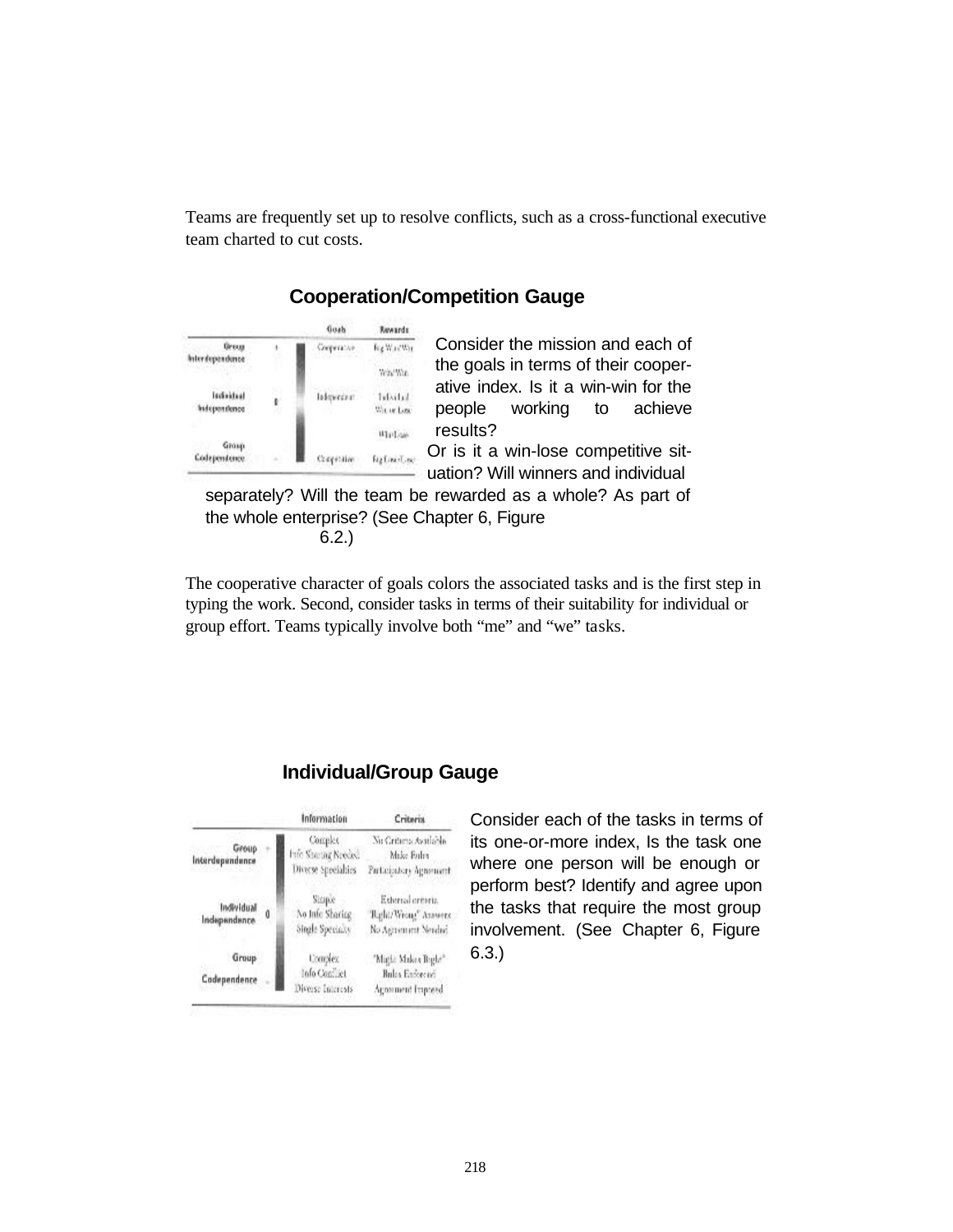Teams are frequently set up to resolve conflicts, such as a cross-functional executive team charted to cut costs.

## **Cooperation/Competition Gauge**



Consider the mission and each of the goals in terms of their cooperative index. Is it a win-win for the people working to achieve results?

Or is it a win-lose competitive situation? Will winners and individual

separately? Will the team be rewarded as a whole? As part of the whole enterprise? (See Chapter 6, Figure 6.2.)

The cooperative character of goals colors the associated tasks and is the first step in typing the work. Second, consider tasks in terms of their suitability for individual or group effort. Teams typically involve both "me" and "we" tasks.

## **Individual/Group Gauge**



Consider each of the tasks in terms of its one-or-more index, Is the task one where one person will be enough or perform best? Identify and agree upon the tasks that require the most group involvement. (See Chapter 6, Figure 6.3.)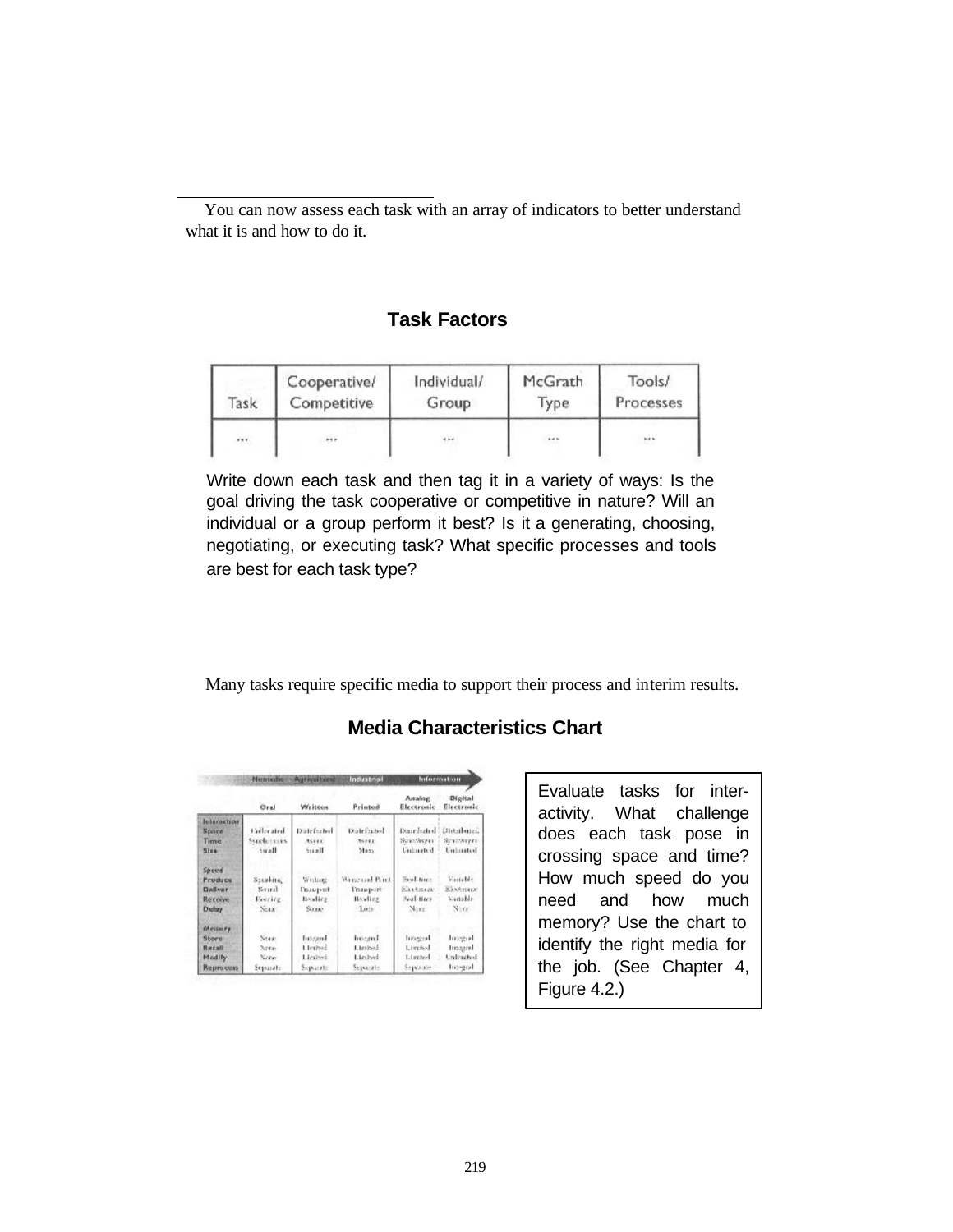You can now assess each task with an array of indicators to better understand what it is and how to do it.

## **Task Factors**

| Task            | Cooperative/ | Individual/ | McGrath  | Tools/    |
|-----------------|--------------|-------------|----------|-----------|
|                 | Competitive  | Group       | Type     | Processes |
| $r_{\rm T}$ r . | $***$        | 434         | $\cdots$ |           |

Write down each task and then tag it in a variety of ways: Is the goal driving the task cooperative or competitive in nature? Will an individual or a group perform it best? Is it a generating, choosing, negotiating, or executing task? What specific processes and tools are best for each task type?

Many tasks require specific media to support their process and interim results.

|                | Nonveidse  | Industrial<br><b>Purnet him!</b> |                  | Information          |                         |
|----------------|------------|----------------------------------|------------------|----------------------|-------------------------|
|                | Oral       | Written                          | Printed          | Analog<br>Electronic | Digital<br>Electronic   |
| Interaction    |            |                                  |                  |                      |                         |
| Space          | Gallecated | Distributed                      | Datrizzh-l       |                      | Distributed Distributed |
| Time           | Ssudences  | Asico                            | <b>MAYER</b>     | SynoMisyer           | Systematic              |
| <b>Size</b>    | Haut       | <b>Huit?</b>                     | Mass             | Unimated             | Unknated                |
| Søred          |            |                                  |                  |                      |                         |
| Produce        | Starking.  | Writing                          | Wrise and Print  | Seal-trice           | Vintable                |
| <b>Dallver</b> | Seriral    | Ponepart                         | <b>Transport</b> | Eletner              | Klochmane               |
| Receive        | Feering.   | Bishire                          | Bealing          | <b>Beal-Hires</b>    | Natable                 |
| <b>Dialary</b> | Nota/      | Saar.                            | Luis             | None                 | None:                   |
| <b>Messary</b> |            |                                  |                  |                      |                         |
| Store          | Nexas:     | Inteand                          | Integril         | Integral             | Integral                |
| Recall         | None-      | Linted                           | Linbad           | Links                | Imagnil                 |
| Modify         | None       | Liniwi                           | Linbsd           | Linched              | Unbinthed               |
| Reprocess      | September  | Separate                         | Separate         | Septimore            | Incegral                |

## **Media Characteristics Chart**

Evaluate tasks for interactivity. What challenge does each task pose in crossing space and time? How much speed do you need and how much memory? Use the chart to identify the right media for the job. (See Chapter 4, Figure 4.2.)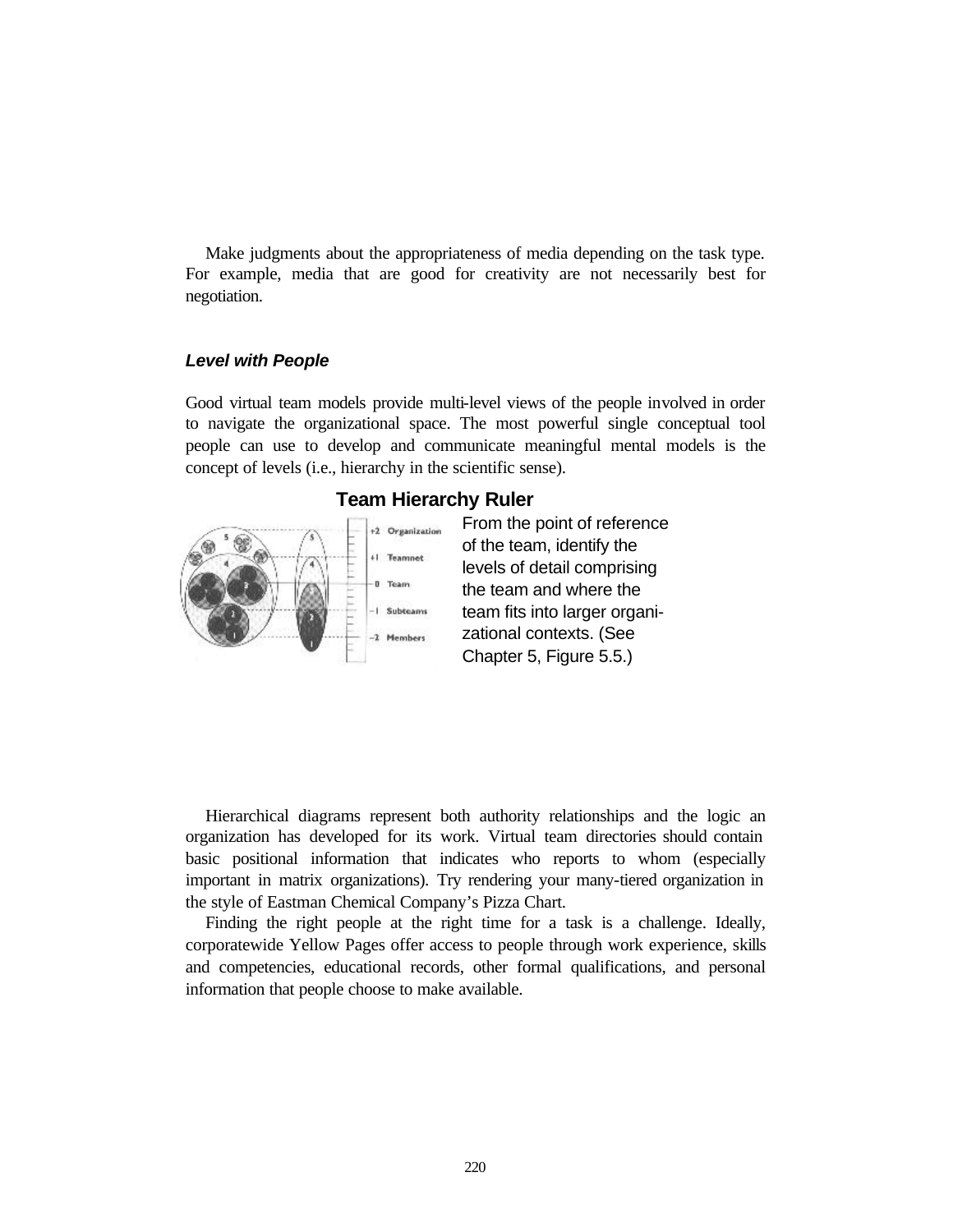Make judgments about the appropriateness of media depending on the task type. For example, media that are good for creativity are not necessarily best for negotiation.

#### *Level with People*

Good virtual team models provide multi-level views of the people involved in order to navigate the organizational space. The most powerful single conceptual tool people can use to develop and communicate meaningful mental models is the concept of levels (i.e., hierarchy in the scientific sense).

#### **Team Hierarchy Ruler**



From the point of reference of the team, identify the levels of detail comprising the team and where the team fits into larger organizational contexts. (See Chapter 5, Figure 5.5.)

Hierarchical diagrams represent both authority relationships and the logic an organization has developed for its work. Virtual team directories should contain basic positional information that indicates who reports to whom (especially important in matrix organizations). Try rendering your many-tiered organization in the style of Eastman Chemical Company's Pizza Chart.

Finding the right people at the right time for a task is a challenge. Ideally, corporatewide Yellow Pages offer access to people through work experience, skills and competencies, educational records, other formal qualifications, and personal information that people choose to make available.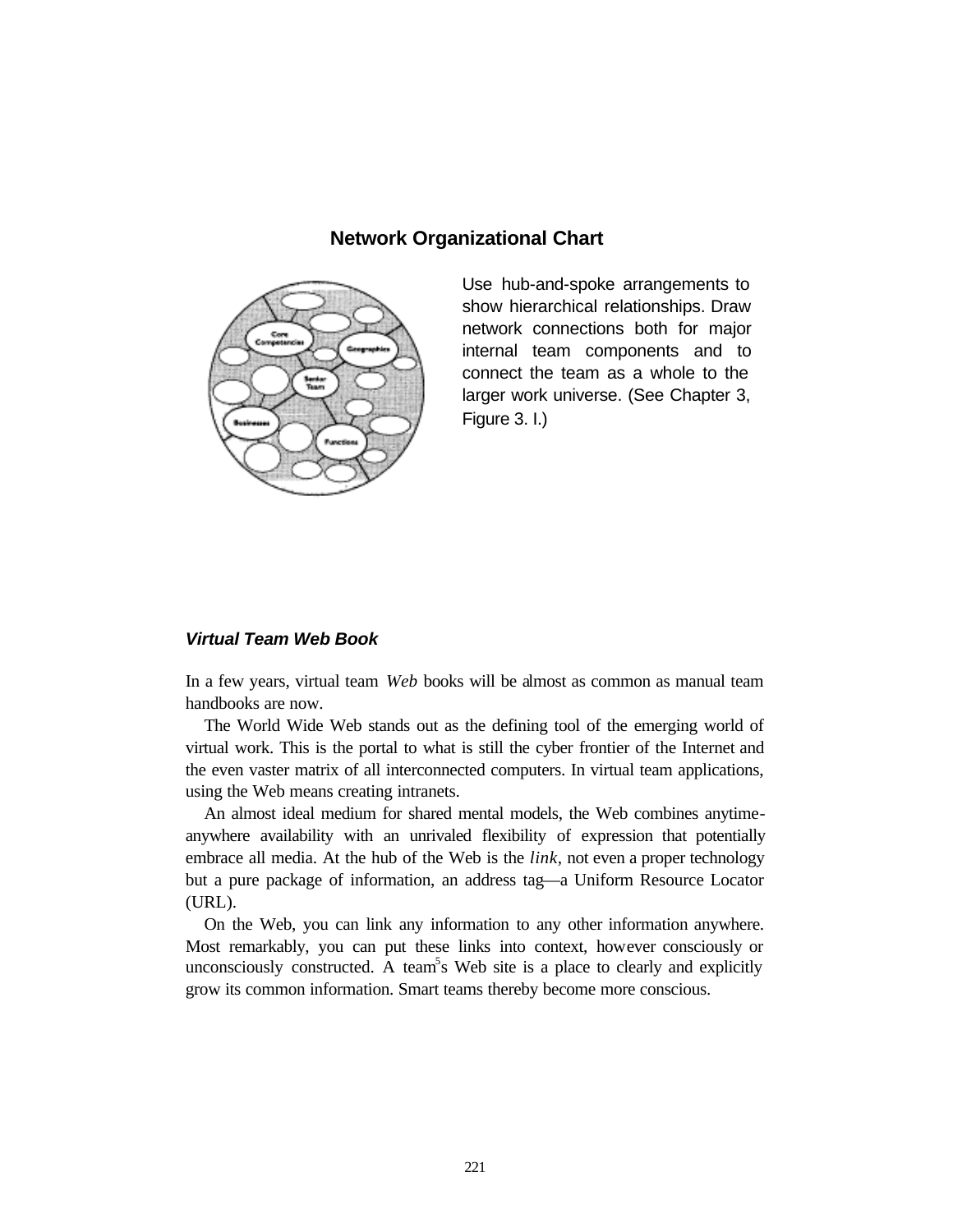

### **Network Organizational Chart**

Use hub-and-spoke arrangements to show hierarchical relationships. Draw network connections both for major internal team components and to connect the team as a whole to the larger work universe. (See Chapter 3, Figure 3. I.)

### *Virtual Team Web Book*

In a few years, virtual team *Web* books will be almost as common as manual team handbooks are now.

The World Wide Web stands out as the defining tool of the emerging world of virtual work. This is the portal to what is still the cyber frontier of the Internet and the even vaster matrix of all interconnected computers. In virtual team applications, using the Web means creating intranets.

An almost ideal medium for shared mental models, the Web combines anytimeanywhere availability with an unrivaled flexibility of expression that potentially embrace all media. At the hub of the Web is the *link,* not even a proper technology but a pure package of information, an address tag—a Uniform Resource Locator (URL).

On the Web, you can link any information to any other information anywhere. Most remarkably, you can put these links into context, however consciously or unconsciously constructed. A team<sup>5</sup>s Web site is a place to clearly and explicitly grow its common information. Smart teams thereby become more conscious.